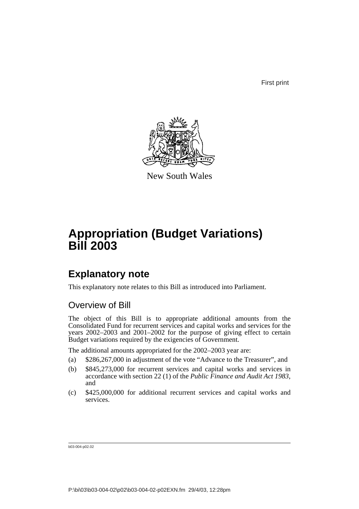First print



New South Wales

# **Appropriation (Budget Variations) Bill 2003**

# **Explanatory note**

This explanatory note relates to this Bill as introduced into Parliament.

# Overview of Bill

The object of this Bill is to appropriate additional amounts from the Consolidated Fund for recurrent services and capital works and services for the years 2002–2003 and 2001–2002 for the purpose of giving effect to certain Budget variations required by the exigencies of Government.

The additional amounts appropriated for the 2002–2003 year are:

- (a) \$286,267,000 in adjustment of the vote "Advance to the Treasurer", and
- (b) \$845,273,000 for recurrent services and capital works and services in accordance with section 22 (1) of the *Public Finance and Audit Act 1983*, and
- (c) \$425,000,000 for additional recurrent services and capital works and services.

b03-004-p02.02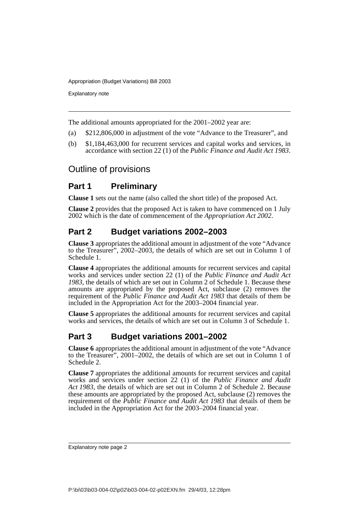Explanatory note

The additional amounts appropriated for the 2001–2002 year are:

- (a) \$212,806,000 in adjustment of the vote "Advance to the Treasurer", and
- (b) \$1,184,463,000 for recurrent services and capital works and services, in accordance with section 22 (1) of the *Public Finance and Audit Act 1983*.

## Outline of provisions

# **Part 1 Preliminary**

**Clause 1** sets out the name (also called the short title) of the proposed Act.

**Clause 2** provides that the proposed Act is taken to have commenced on 1 July 2002 which is the date of commencement of the *Appropriation Act 2002*.

# **Part 2 Budget variations 2002–2003**

**Clause 3** appropriates the additional amount in adjustment of the vote "Advance to the Treasurer", 2002–2003, the details of which are set out in Column 1 of Schedule 1.

**Clause 4** appropriates the additional amounts for recurrent services and capital works and services under section 22 (1) of the *Public Finance and Audit Act 1983*, the details of which are set out in Column 2 of Schedule 1. Because these amounts are appropriated by the proposed Act, subclause (2) removes the requirement of the *Public Finance and Audit Act 1983* that details of them be included in the Appropriation Act for the 2003–2004 financial year.

**Clause 5** appropriates the additional amounts for recurrent services and capital works and services, the details of which are set out in Column 3 of Schedule 1.

# **Part 3 Budget variations 2001–2002**

**Clause 6** appropriates the additional amount in adjustment of the vote "Advance to the Treasurer", 2001–2002, the details of which are set out in Column 1 of Schedule 2.

**Clause 7** appropriates the additional amounts for recurrent services and capital works and services under section 22 (1) of the *Public Finance and Audit Act 1983*, the details of which are set out in Column 2 of Schedule 2. Because these amounts are appropriated by the proposed Act, subclause (2) removes the requirement of the *Public Finance and Audit Act 1983* that details of them be included in the Appropriation Act for the 2003–2004 financial year.

Explanatory note page 2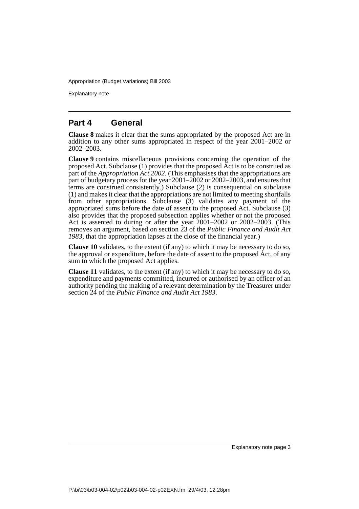Explanatory note

## **Part 4 General**

**Clause 8** makes it clear that the sums appropriated by the proposed Act are in addition to any other sums appropriated in respect of the year 2001–2002 or 2002–2003.

**Clause 9** contains miscellaneous provisions concerning the operation of the proposed Act. Subclause (1) provides that the proposed Act is to be construed as part of the *Appropriation Act 2002*. (This emphasises that the appropriations are part of budgetary process for the year 2001–2002 or 2002–2003, and ensures that terms are construed consistently.) Subclause (2) is consequential on subclause (1) and makes it clear that the appropriations are not limited to meeting shortfalls from other appropriations. Subclause (3) validates any payment of the appropriated sums before the date of assent to the proposed Act. Subclause (3) also provides that the proposed subsection applies whether or not the proposed Act is assented to during or after the year 2001–2002 or 2002–2003. (This removes an argument, based on section 23 of the *Public Finance and Audit Act 1983*, that the appropriation lapses at the close of the financial year.)

**Clause 10** validates, to the extent (if any) to which it may be necessary to do so, the approval or expenditure, before the date of assent to the proposed Act, of any sum to which the proposed Act applies.

**Clause 11** validates, to the extent (if any) to which it may be necessary to do so, expenditure and payments committed, incurred or authorised by an officer of an authority pending the making of a relevant determination by the Treasurer under section 24 of the *Public Finance and Audit Act 1983*.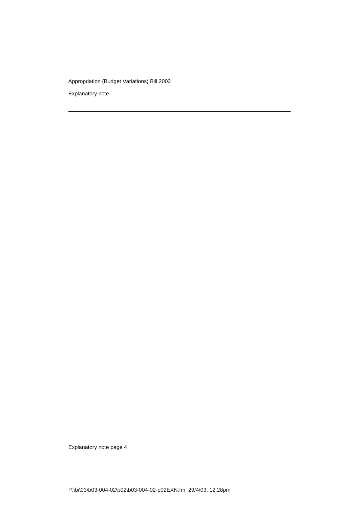Explanatory note

Explanatory note page 4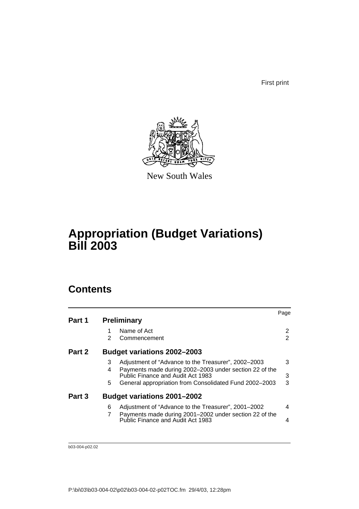First print



New South Wales

# **Appropriation (Budget Variations) Bill 2003**

# **Contents**

| Part 1 |              | <b>Preliminary</b>                                                                                                                                                                                           | Page                |
|--------|--------------|--------------------------------------------------------------------------------------------------------------------------------------------------------------------------------------------------------------|---------------------|
|        | 2            | Name of Act<br>Commencement                                                                                                                                                                                  | 2<br>$\overline{2}$ |
| Part 2 |              | <b>Budget variations 2002-2003</b>                                                                                                                                                                           |                     |
|        | 3<br>4<br>5. | Adjustment of "Advance to the Treasurer", 2002-2003<br>Payments made during 2002-2003 under section 22 of the<br>Public Finance and Audit Act 1983<br>General appropriation from Consolidated Fund 2002–2003 | 3<br>3<br>3         |
| Part 3 |              | <b>Budget variations 2001-2002</b>                                                                                                                                                                           |                     |
|        | 6            | Adjustment of "Advance to the Treasurer", 2001-2002<br>Payments made during 2001-2002 under section 22 of the<br>Public Finance and Audit Act 1983                                                           | 4<br>4              |

b03-004-p02.02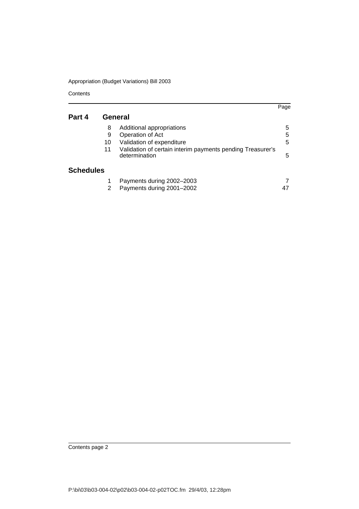**Contents** 

|                  |    |                                                                             | Page |
|------------------|----|-----------------------------------------------------------------------------|------|
| Part 4           |    | General                                                                     |      |
|                  | 8  | Additional appropriations                                                   | 5    |
|                  | 9  | Operation of Act                                                            | 5    |
|                  | 10 | Validation of expenditure                                                   | 5    |
|                  | 11 | Validation of certain interim payments pending Treasurer's<br>determination | 5    |
| <b>Schedules</b> |    |                                                                             |      |
|                  |    | Payments during 2002-2003                                                   |      |
|                  | 2  | Payments during 2001-2002                                                   | 47   |

Contents page 2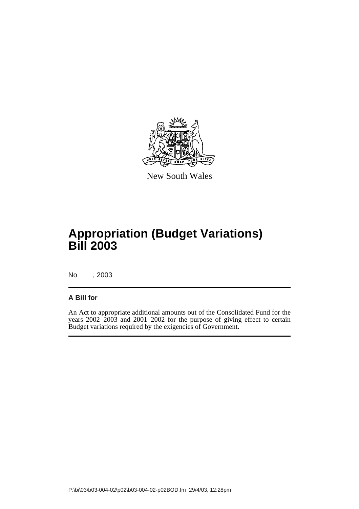

New South Wales

# **Appropriation (Budget Variations) Bill 2003**

No , 2003

#### **A Bill for**

An Act to appropriate additional amounts out of the Consolidated Fund for the years 2002–2003 and 2001–2002 for the purpose of giving effect to certain Budget variations required by the exigencies of Government.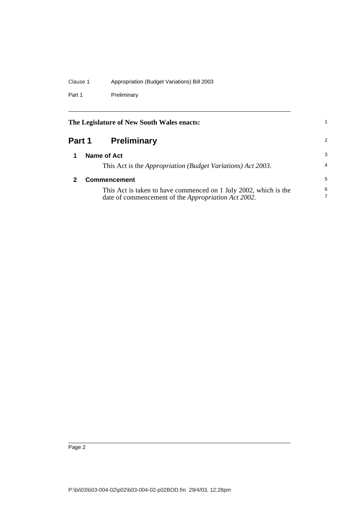# Clause 1 Appropriation (Budget Variations) Bill 2003

Part 1 Preliminary

| The Legislature of New South Wales enacts: |  |
|--------------------------------------------|--|
|--------------------------------------------|--|

# <span id="page-7-1"></span><span id="page-7-0"></span>**Part 1 Preliminary**

<span id="page-7-2"></span>

| Name of Act                                                                                                                     | 3      |
|---------------------------------------------------------------------------------------------------------------------------------|--------|
| This Act is the <i>Appropriation (Budget Variations) Act 2003</i> .                                                             | 4      |
| <b>Commencement</b>                                                                                                             | 5      |
| This Act is taken to have commenced on 1 July 2002, which is the<br>date of commencement of the <i>Appropriation Act 2002</i> . | 6<br>7 |

1

2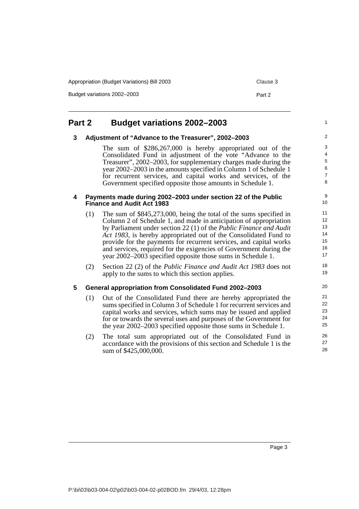Appropriation (Budget Variations) Bill 2003 Clause 3

Budget variations 2002–2003 Part 2

<span id="page-8-3"></span><span id="page-8-2"></span><span id="page-8-1"></span><span id="page-8-0"></span>

| Part 2 |     | <b>Budget variations 2002-2003</b>                                      | $\mathbf{1}$   |
|--------|-----|-------------------------------------------------------------------------|----------------|
| 3      |     | Adjustment of "Advance to the Treasurer", 2002-2003                     | 2              |
|        |     | The sum of \$286,267,000 is hereby appropriated out of the              | 3              |
|        |     | Consolidated Fund in adjustment of the vote "Advance to the             | $\overline{4}$ |
|        |     | Treasurer", 2002–2003, for supplementary charges made during the        | $\,$ 5 $\,$    |
|        |     | year 2002–2003 in the amounts specified in Column 1 of Schedule 1       | 6              |
|        |     | for recurrent services, and capital works and services, of the          | $\overline{7}$ |
|        |     | Government specified opposite those amounts in Schedule 1.              | 8              |
| 4      |     | Payments made during 2002-2003 under section 22 of the Public           | 9              |
|        |     | <b>Finance and Audit Act 1983</b>                                       | 10             |
|        | (1) | The sum of \$845,273,000, being the total of the sums specified in      | 11             |
|        |     | Column 2 of Schedule 1, and made in anticipation of appropriation       | 12             |
|        |     | by Parliament under section 22 (1) of the Public Finance and Audit      | 13             |
|        |     | Act 1983, is hereby appropriated out of the Consolidated Fund to        | 14             |
|        |     | provide for the payments for recurrent services, and capital works      | 15             |
|        |     | and services, required for the exigencies of Government during the      | 16<br>17       |
|        |     | year 2002–2003 specified opposite those sums in Schedule 1.             |                |
|        | (2) | Section 22 (2) of the <i>Public Finance and Audit Act 1983</i> does not | 18             |
|        |     | apply to the sums to which this section applies.                        | 19             |
| 5      |     | <b>General appropriation from Consolidated Fund 2002-2003</b>           | 20             |
|        | (1) | Out of the Consolidated Fund there are hereby appropriated the          | 21             |
|        |     | sums specified in Column 3 of Schedule 1 for recurrent services and     | 22             |
|        |     | capital works and services, which sums may be issued and applied        | 23             |
|        |     | for or towards the several uses and purposes of the Government for      | 24             |
|        |     | the year 2002–2003 specified opposite those sums in Schedule 1.         | 25             |
|        | (2) | The total sum appropriated out of the Consolidated Fund in              | 26             |
|        |     | accordance with the provisions of this section and Schedule 1 is the    | 27             |
|        |     | sum of \$425,000,000.                                                   | 28             |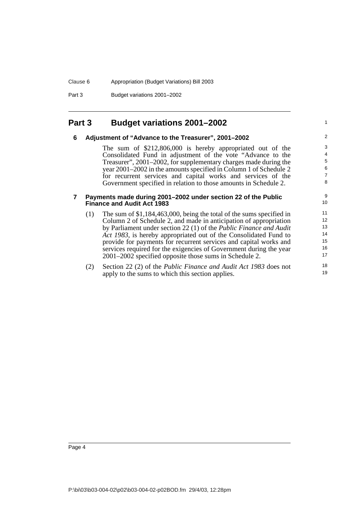Clause 6 Appropriation (Budget Variations) Bill 2003

Part 3 Budget variations 2001–2002

#### <span id="page-9-1"></span><span id="page-9-0"></span>**Part 3 Budget variations 2001–2002**

#### **6 Adjustment of "Advance to the Treasurer", 2001–2002**

The sum of \$212,806,000 is hereby appropriated out of the Consolidated Fund in adjustment of the vote "Advance to the Treasurer", 2001–2002, for supplementary charges made during the year 2001–2002 in the amounts specified in Column 1 of Schedule 2 for recurrent services and capital works and services of the Government specified in relation to those amounts in Schedule 2.

1

#### <span id="page-9-2"></span>**7 Payments made during 2001–2002 under section 22 of the Public Finance and Audit Act 1983**

- (1) The sum of \$1,184,463,000, being the total of the sums specified in Column 2 of Schedule 2, and made in anticipation of appropriation by Parliament under section 22 (1) of the *Public Finance and Audit Act 1983*, is hereby appropriated out of the Consolidated Fund to provide for payments for recurrent services and capital works and services required for the exigencies of Government during the year 2001–2002 specified opposite those sums in Schedule 2.
- (2) Section 22 (2) of the *Public Finance and Audit Act 1983* does not apply to the sums to which this section applies.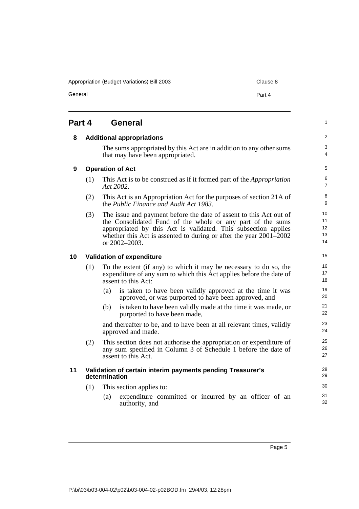Appropriation (Budget Variations) Bill 2003 Clause 8

General **Part 4** 

<span id="page-10-4"></span><span id="page-10-3"></span><span id="page-10-2"></span><span id="page-10-1"></span><span id="page-10-0"></span>

| Part 4 |                                  |               | <b>General</b>                                                                                                                                                                                                                                                                            | 1                          |
|--------|----------------------------------|---------------|-------------------------------------------------------------------------------------------------------------------------------------------------------------------------------------------------------------------------------------------------------------------------------------------|----------------------------|
| 8      | <b>Additional appropriations</b> |               |                                                                                                                                                                                                                                                                                           | 2                          |
|        |                                  |               | The sums appropriated by this Act are in addition to any other sums<br>that may have been appropriated.                                                                                                                                                                                   | 3<br>$\overline{4}$        |
| 9      |                                  |               | <b>Operation of Act</b>                                                                                                                                                                                                                                                                   | 5                          |
|        | (1)                              |               | This Act is to be construed as if it formed part of the <i>Appropriation</i><br>Act 2002.                                                                                                                                                                                                 | 6<br>$\overline{7}$        |
|        | (2)                              |               | This Act is an Appropriation Act for the purposes of section 21A of<br>the Public Finance and Audit Act 1983.                                                                                                                                                                             | 8<br>9                     |
|        | (3)                              |               | The issue and payment before the date of assent to this Act out of<br>the Consolidated Fund of the whole or any part of the sums<br>appropriated by this Act is validated. This subsection applies<br>whether this Act is assented to during or after the year 2001–2002<br>or 2002-2003. | 10<br>11<br>12<br>13<br>14 |
| 10     |                                  |               | <b>Validation of expenditure</b>                                                                                                                                                                                                                                                          | 15                         |
|        | (1)                              |               | To the extent (if any) to which it may be necessary to do so, the<br>expenditure of any sum to which this Act applies before the date of<br>assent to this Act:                                                                                                                           | 16<br>17<br>18             |
|        |                                  | (a)           | is taken to have been validly approved at the time it was<br>approved, or was purported to have been approved, and                                                                                                                                                                        | 19<br>20                   |
|        |                                  | (b)           | is taken to have been validly made at the time it was made, or<br>purported to have been made,                                                                                                                                                                                            | 21<br>22                   |
|        |                                  |               | and thereafter to be, and to have been at all relevant times, validly<br>approved and made.                                                                                                                                                                                               | 23<br>24                   |
|        | (2)                              |               | This section does not authorise the appropriation or expenditure of<br>any sum specified in Column 3 of Schedule 1 before the date of<br>assent to this Act.                                                                                                                              | 25<br>26<br>27             |
| 11     |                                  | determination | Validation of certain interim payments pending Treasurer's                                                                                                                                                                                                                                | 28<br>29                   |
|        | (1)                              |               | This section applies to:                                                                                                                                                                                                                                                                  | 30                         |
|        |                                  | (a)           | expenditure committed or incurred by an officer of an<br>authority, and                                                                                                                                                                                                                   | 31<br>32                   |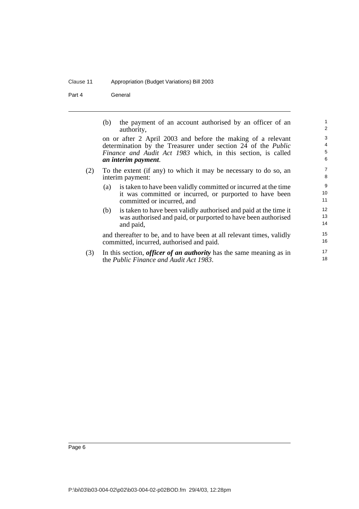#### Clause 11 Appropriation (Budget Variations) Bill 2003

Part 4 **General** 

(b) the payment of an account authorised by an officer of an authority,

on or after 2 April 2003 and before the making of a relevant determination by the Treasurer under section 24 of the *Public Finance and Audit Act 1983* which, in this section, is called *an interim payment*.

- (2) To the extent (if any) to which it may be necessary to do so, an interim payment:
	- (a) is taken to have been validly committed or incurred at the time it was committed or incurred, or purported to have been committed or incurred, and
	- (b) is taken to have been validly authorised and paid at the time it was authorised and paid, or purported to have been authorised and paid,

and thereafter to be, and to have been at all relevant times, validly committed, incurred, authorised and paid.

(3) In this section, *officer of an authority* has the same meaning as in the *Public Finance and Audit Act 1983*.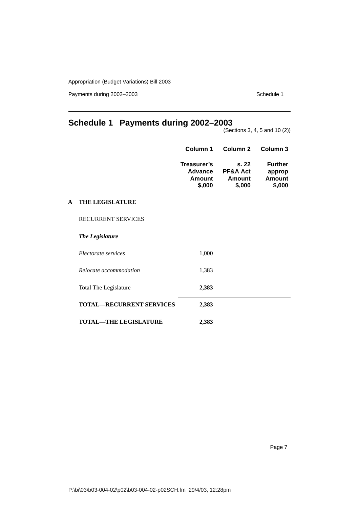Payments during 2002–2003 Schedule 1

## <span id="page-12-0"></span>**Schedule 1 Payments during 2002–2003**

(Sections 3, 4, 5 and 10 (2))

|              |                                 | Column 1                                          | Column <sub>2</sub>                             | Column <sub>3</sub>                          |
|--------------|---------------------------------|---------------------------------------------------|-------------------------------------------------|----------------------------------------------|
|              |                                 | Treasurer's<br>Advance<br><b>Amount</b><br>\$,000 | s.22<br><b>PF&amp;A Act</b><br>Amount<br>\$,000 | <b>Further</b><br>approp<br>Amount<br>\$,000 |
| $\mathbf{A}$ | THE LEGISLATURE                 |                                                   |                                                 |                                              |
|              | RECURRENT SERVICES              |                                                   |                                                 |                                              |
|              | <b>The Legislature</b>          |                                                   |                                                 |                                              |
|              | Electorate services             | 1,000                                             |                                                 |                                              |
|              | Relocate accommodation          | 1,383                                             |                                                 |                                              |
|              | Total The Legislature           | 2,383                                             |                                                 |                                              |
|              | <b>TOTAL-RECURRENT SERVICES</b> | 2,383                                             |                                                 |                                              |
|              | <b>TOTAL—THE LEGISLATURE</b>    | 2,383                                             |                                                 |                                              |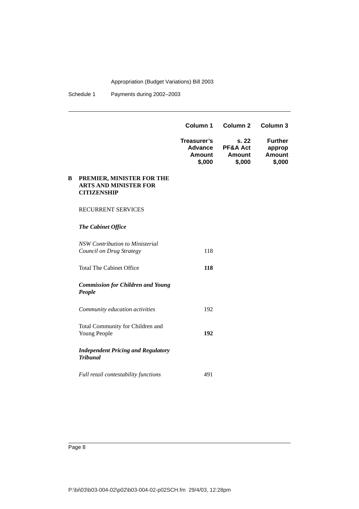Schedule 1 Payments during 2002–2003

|   |                                                                                 | Column 1                                                 | Column <sub>2</sub>                          | Column 3                                            |
|---|---------------------------------------------------------------------------------|----------------------------------------------------------|----------------------------------------------|-----------------------------------------------------|
|   |                                                                                 | Treasurer's<br><b>Advance</b><br><b>Amount</b><br>\$,000 | s. 22<br>PF&A Act<br><b>Amount</b><br>\$,000 | <b>Further</b><br>approp<br><b>Amount</b><br>\$,000 |
| B | PREMIER, MINISTER FOR THE<br><b>ARTS AND MINISTER FOR</b><br><b>CITIZENSHIP</b> |                                                          |                                              |                                                     |
|   | <b>RECURRENT SERVICES</b>                                                       |                                                          |                                              |                                                     |
|   | The Cabinet Office                                                              |                                                          |                                              |                                                     |
|   | <b>NSW Contribution to Ministerial</b><br>Council on Drug Strategy              | 118                                                      |                                              |                                                     |
|   | <b>Total The Cabinet Office</b>                                                 | 118                                                      |                                              |                                                     |
|   | <b>Commission for Children and Young</b><br>People                              |                                                          |                                              |                                                     |
|   | Community education activities                                                  | 192                                                      |                                              |                                                     |
|   | Total Community for Children and<br>Young People                                | 192                                                      |                                              |                                                     |
|   | <b>Independent Pricing and Regulatory</b><br><b>Tribunal</b>                    |                                                          |                                              |                                                     |
|   | Full retail contestability functions                                            | 491                                                      |                                              |                                                     |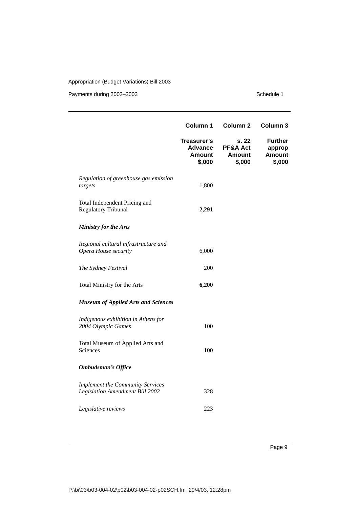Payments during 2002–2003 Schedule 1

|                                                                                   | Column 1                                          | Column <sub>2</sub>                          | Column 3                                            |
|-----------------------------------------------------------------------------------|---------------------------------------------------|----------------------------------------------|-----------------------------------------------------|
|                                                                                   | Treasurer's<br><b>Advance</b><br>Amount<br>\$,000 | s. 22<br>PF&A Act<br><b>Amount</b><br>\$,000 | <b>Further</b><br>approp<br><b>Amount</b><br>\$,000 |
| Regulation of greenhouse gas emission<br>targets                                  | 1,800                                             |                                              |                                                     |
| Total Independent Pricing and<br>Regulatory Tribunal                              | 2,291                                             |                                              |                                                     |
| <b>Ministry for the Arts</b>                                                      |                                                   |                                              |                                                     |
| Regional cultural infrastructure and<br>Opera House security                      | 6,000                                             |                                              |                                                     |
| The Sydney Festival                                                               | 200                                               |                                              |                                                     |
| Total Ministry for the Arts                                                       | 6,200                                             |                                              |                                                     |
| <b>Museum of Applied Arts and Sciences</b>                                        |                                                   |                                              |                                                     |
| Indigenous exhibition in Athens for<br>2004 Olympic Games                         | 100                                               |                                              |                                                     |
| Total Museum of Applied Arts and<br><b>Sciences</b>                               | 100                                               |                                              |                                                     |
| <b>Ombudsman's Office</b>                                                         |                                                   |                                              |                                                     |
| <b>Implement the Community Services</b><br><b>Legislation Amendment Bill 2002</b> | 328                                               |                                              |                                                     |
| Legislative reviews                                                               | 223                                               |                                              |                                                     |
|                                                                                   |                                                   |                                              |                                                     |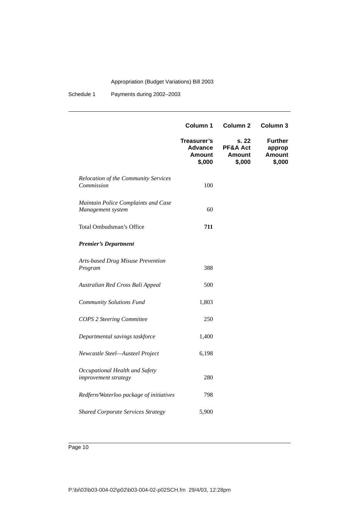Schedule 1 Payments during 2002–2003

|                                                          | Column 1                                          | Column <sub>2</sub>                         | Column 3                                            |
|----------------------------------------------------------|---------------------------------------------------|---------------------------------------------|-----------------------------------------------------|
|                                                          | Treasurer's<br>Advance<br><b>Amount</b><br>\$,000 | s.22<br>PF&A Act<br><b>Amount</b><br>\$,000 | <b>Further</b><br>approp<br><b>Amount</b><br>\$,000 |
| Relocation of the Community Services<br>Commission       | 100                                               |                                             |                                                     |
| Maintain Police Complaints and Case<br>Management system | 60                                                |                                             |                                                     |
| Total Ombudsman's Office                                 | 711                                               |                                             |                                                     |
| <b>Premier's Department</b>                              |                                                   |                                             |                                                     |
| Arts-based Drug Misuse Prevention<br>Program             | 388                                               |                                             |                                                     |
| Australian Red Cross Bali Appeal                         | 500                                               |                                             |                                                     |
| <b>Community Solutions Fund</b>                          | 1,803                                             |                                             |                                                     |
| <b>COPS 2 Steering Committee</b>                         | 250                                               |                                             |                                                     |
| Departmental savings taskforce                           | 1,400                                             |                                             |                                                     |
| Newcastle Steel-Austeel Project                          | 6,198                                             |                                             |                                                     |
| Occupational Health and Safety<br>improvement strategy   | 280                                               |                                             |                                                     |
| Redfern/Waterloo package of initiatives                  | 798                                               |                                             |                                                     |
| <b>Shared Corporate Services Strategy</b>                | 5,900                                             |                                             |                                                     |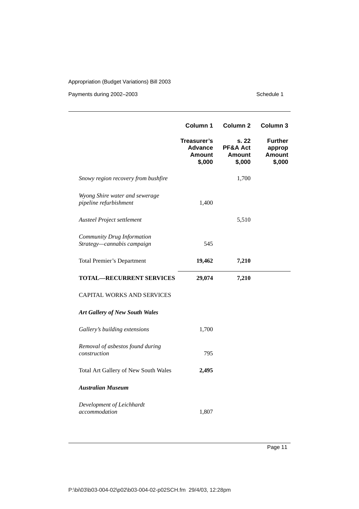Payments during 2002–2003 Schedule 1

|                                                          | Column 1                                                 | Column <sub>2</sub>                          | Column 3                                            |
|----------------------------------------------------------|----------------------------------------------------------|----------------------------------------------|-----------------------------------------------------|
|                                                          | Treasurer's<br><b>Advance</b><br><b>Amount</b><br>\$,000 | s. 22<br>PF&A Act<br><b>Amount</b><br>\$,000 | <b>Further</b><br>approp<br><b>Amount</b><br>\$,000 |
| Snowy region recovery from bushfire                      |                                                          | 1,700                                        |                                                     |
| Wyong Shire water and sewerage<br>pipeline refurbishment | 1,400                                                    |                                              |                                                     |
| <b>Austeel Project settlement</b>                        |                                                          | 5,510                                        |                                                     |
| Community Drug Information<br>Strategy-cannabis campaign | 545                                                      |                                              |                                                     |
| <b>Total Premier's Department</b>                        | 19,462                                                   | 7,210                                        |                                                     |
| <b>TOTAL-RECURRENT SERVICES</b>                          | 29,074                                                   | 7,210                                        |                                                     |
| <b>CAPITAL WORKS AND SERVICES</b>                        |                                                          |                                              |                                                     |
| <b>Art Gallery of New South Wales</b>                    |                                                          |                                              |                                                     |
| Gallery's building extensions                            | 1,700                                                    |                                              |                                                     |
| Removal of asbestos found during<br>construction         | 795                                                      |                                              |                                                     |
| Total Art Gallery of New South Wales                     | 2,495                                                    |                                              |                                                     |
| <b>Australian Museum</b>                                 |                                                          |                                              |                                                     |
| Development of Leichhardt<br>accommodation               | 1,807                                                    |                                              |                                                     |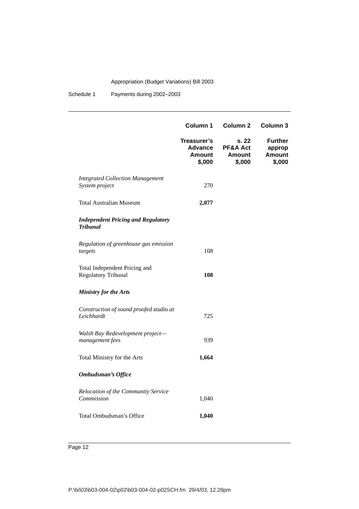Schedule 1 Payments during 2002–2003

|                                                              | Column 1                                   | Column <sub>2</sub>                          | Column 3                                            |
|--------------------------------------------------------------|--------------------------------------------|----------------------------------------------|-----------------------------------------------------|
|                                                              | Treasurer's<br>Advance<br>Amount<br>\$,000 | s. 22<br>PF&A Act<br><b>Amount</b><br>\$,000 | <b>Further</b><br>approp<br><b>Amount</b><br>\$,000 |
| <b>Integrated Collection Management</b><br>System project    | 270                                        |                                              |                                                     |
| <b>Total Australian Museum</b>                               | 2,077                                      |                                              |                                                     |
| <b>Independent Pricing and Regulatory</b><br><b>Tribunal</b> |                                            |                                              |                                                     |
| Regulation of greenhouse gas emission<br>targets             | 108                                        |                                              |                                                     |
| Total Independent Pricing and<br>Regulatory Tribunal         | 108                                        |                                              |                                                     |
| <b>Ministry for the Arts</b>                                 |                                            |                                              |                                                     |
| Construction of sound proofed studio at<br>Leichhardt        | 725                                        |                                              |                                                     |
| Walsh Bay Redevelopment project-<br>management fees          | 939                                        |                                              |                                                     |
| Total Ministry for the Arts                                  | 1,664                                      |                                              |                                                     |
| <b>Ombudsman's Office</b>                                    |                                            |                                              |                                                     |
| Relocation of the Community Service<br>Commission            | 1,040                                      |                                              |                                                     |
| Total Ombudsman's Office                                     | 1,040                                      |                                              |                                                     |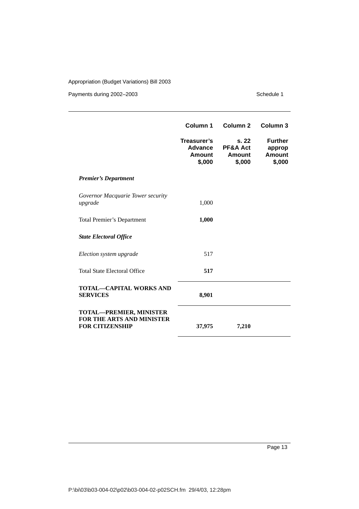Payments during 2002–2003 Schedule 1

|                                                                                              | Column 1                                   | Column <sub>2</sub>                             | Column <sub>3</sub>                                 |
|----------------------------------------------------------------------------------------------|--------------------------------------------|-------------------------------------------------|-----------------------------------------------------|
|                                                                                              | Treasurer's<br>Advance<br>Amount<br>\$,000 | s.22<br><b>PF&amp;A Act</b><br>Amount<br>\$,000 | <b>Further</b><br>approp<br><b>Amount</b><br>\$,000 |
| <b>Premier's Department</b>                                                                  |                                            |                                                 |                                                     |
| Governor Macquarie Tower security<br>upgrade                                                 | 1,000                                      |                                                 |                                                     |
| <b>Total Premier's Department</b>                                                            | 1,000                                      |                                                 |                                                     |
| <b>State Electoral Office</b>                                                                |                                            |                                                 |                                                     |
| Election system upgrade                                                                      | 517                                        |                                                 |                                                     |
| <b>Total State Electoral Office</b>                                                          | 517                                        |                                                 |                                                     |
| <b>TOTAL—CAPITAL WORKS AND</b><br><b>SERVICES</b>                                            | 8,901                                      |                                                 |                                                     |
| <b>TOTAL-PREMIER, MINISTER</b><br><b>FOR THE ARTS AND MINISTER</b><br><b>FOR CITIZENSHIP</b> | 37,975                                     | 7,210                                           |                                                     |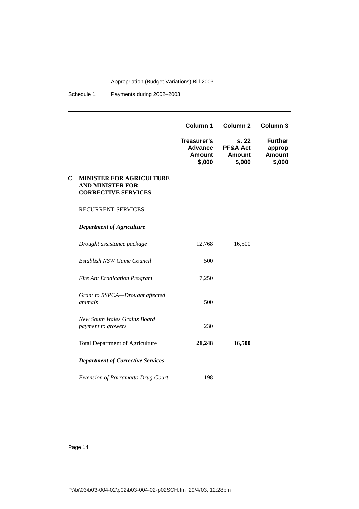Schedule 1 Payments during 2002–2003

|             |                                                                                          | Column <sub>1</sub>                               | Column <sub>2</sub>                          | Column <sub>3</sub>                          |
|-------------|------------------------------------------------------------------------------------------|---------------------------------------------------|----------------------------------------------|----------------------------------------------|
|             |                                                                                          | Treasurer's<br><b>Advance</b><br>Amount<br>\$,000 | s. 22<br>PF&A Act<br><b>Amount</b><br>\$,000 | <b>Further</b><br>approp<br>Amount<br>\$,000 |
| $\mathbf C$ | <b>MINISTER FOR AGRICULTURE</b><br><b>AND MINISTER FOR</b><br><b>CORRECTIVE SERVICES</b> |                                                   |                                              |                                              |
|             | RECURRENT SERVICES                                                                       |                                                   |                                              |                                              |
|             | <b>Department of Agriculture</b>                                                         |                                                   |                                              |                                              |
|             | Drought assistance package                                                               | 12,768                                            | 16,500                                       |                                              |
|             | Establish NSW Game Council                                                               | 500                                               |                                              |                                              |
|             | <b>Fire Ant Eradication Program</b>                                                      | 7,250                                             |                                              |                                              |
|             | Grant to RSPCA-Drought affected<br>animals                                               | 500                                               |                                              |                                              |
|             | New South Wales Grains Board<br>payment to growers                                       | 230                                               |                                              |                                              |
|             | <b>Total Department of Agriculture</b>                                                   | 21,248                                            | 16,500                                       |                                              |
|             | <b>Department of Corrective Services</b>                                                 |                                                   |                                              |                                              |
|             | <b>Extension of Parramatta Drug Court</b>                                                | 198                                               |                                              |                                              |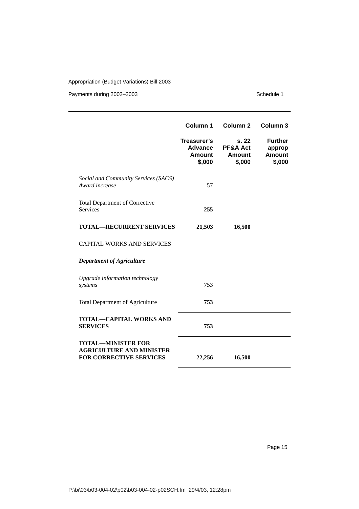Payments during 2002–2003 Schedule 1

|                                                                                                | Column <sub>1</sub>                               | Column <sub>2</sub>                         | Column <sub>3</sub>                                 |
|------------------------------------------------------------------------------------------------|---------------------------------------------------|---------------------------------------------|-----------------------------------------------------|
|                                                                                                | Treasurer's<br>Advance<br><b>Amount</b><br>\$,000 | s.22<br>PF&A Act<br><b>Amount</b><br>\$,000 | <b>Further</b><br>approp<br><b>Amount</b><br>\$,000 |
| Social and Community Services (SACS)<br>Award increase                                         | 57                                                |                                             |                                                     |
| <b>Total Department of Corrective</b><br><b>Services</b>                                       | 255                                               |                                             |                                                     |
| <b>TOTAL-RECURRENT SERVICES</b>                                                                | 21,503                                            | 16,500                                      |                                                     |
| <b>CAPITAL WORKS AND SERVICES</b>                                                              |                                                   |                                             |                                                     |
| <b>Department of Agriculture</b>                                                               |                                                   |                                             |                                                     |
| Upgrade information technology<br>systems                                                      | 753                                               |                                             |                                                     |
| <b>Total Department of Agriculture</b>                                                         | 753                                               |                                             |                                                     |
| <b>TOTAL-CAPITAL WORKS AND</b><br><b>SERVICES</b>                                              | 753                                               |                                             |                                                     |
| <b>TOTAL-MINISTER FOR</b><br><b>AGRICULTURE AND MINISTER</b><br><b>FOR CORRECTIVE SERVICES</b> | 22,256                                            | 16,500                                      |                                                     |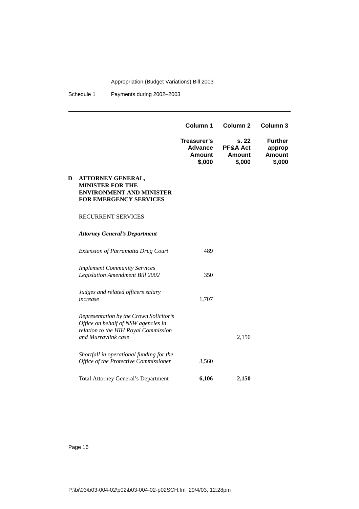Schedule 1 Payments during 2002–2003

|   |                                                                                                                                               | Column <sub>1</sub>                               | Column <sub>2</sub>                                    | Column <sub>3</sub>                                 |
|---|-----------------------------------------------------------------------------------------------------------------------------------------------|---------------------------------------------------|--------------------------------------------------------|-----------------------------------------------------|
|   |                                                                                                                                               | Treasurer's<br>Advance<br><b>Amount</b><br>\$,000 | s.22<br><b>PF&amp;A Act</b><br><b>Amount</b><br>\$,000 | <b>Further</b><br>approp<br><b>Amount</b><br>\$,000 |
| D | ATTORNEY GENERAL,<br><b>MINISTER FOR THE</b><br><b>ENVIRONMENT AND MINISTER</b><br>FOR EMERGENCY SERVICES                                     |                                                   |                                                        |                                                     |
|   | <b>RECURRENT SERVICES</b>                                                                                                                     |                                                   |                                                        |                                                     |
|   | <b>Attorney General's Department</b>                                                                                                          |                                                   |                                                        |                                                     |
|   | <b>Extension of Parramatta Drug Court</b>                                                                                                     | 489                                               |                                                        |                                                     |
|   | <b>Implement Community Services</b><br>Legislation Amendment Bill 2002                                                                        | 350                                               |                                                        |                                                     |
|   | Judges and related officers salary<br>increase                                                                                                | 1,707                                             |                                                        |                                                     |
|   | Representation by the Crown Solicitor's<br>Office on behalf of NSW agencies in<br>relation to the HIH Royal Commission<br>and Murraylink case |                                                   | 2,150                                                  |                                                     |
|   | Shortfall in operational funding for the<br>Office of the Protective Commissioner                                                             | 3,560                                             |                                                        |                                                     |
|   | <b>Total Attorney General's Department</b>                                                                                                    | 6,106                                             | 2,150                                                  |                                                     |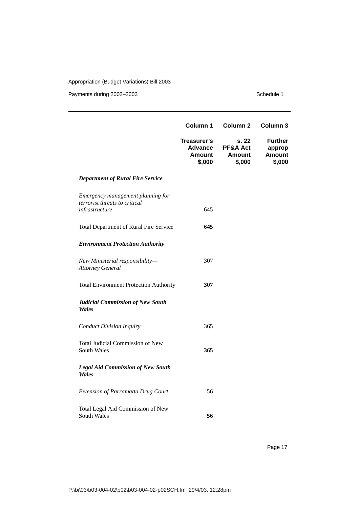Payments during 2002–2003 Schedule 1

|                                                                                      | Column 1                                   | Column <sub>2</sub>                          | Column 3                                            |
|--------------------------------------------------------------------------------------|--------------------------------------------|----------------------------------------------|-----------------------------------------------------|
|                                                                                      | Treasurer's<br>Advance<br>Amount<br>\$,000 | s. 22<br>PF&A Act<br><b>Amount</b><br>\$,000 | <b>Further</b><br>approp<br><b>Amount</b><br>\$,000 |
| <b>Department of Rural Fire Service</b>                                              |                                            |                                              |                                                     |
| Emergency management planning for<br>terrorist threats to critical<br>infrastructure | 645                                        |                                              |                                                     |
| Total Department of Rural Fire Service                                               | 645                                        |                                              |                                                     |
| <b>Environment Protection Authority</b>                                              |                                            |                                              |                                                     |
| New Ministerial responsibility-<br><b>Attorney General</b>                           | 307                                        |                                              |                                                     |
| <b>Total Environment Protection Authority</b>                                        | 307                                        |                                              |                                                     |
| <b>Judicial Commission of New South</b><br>Wales                                     |                                            |                                              |                                                     |
| <b>Conduct Division Inquiry</b>                                                      | 365                                        |                                              |                                                     |
| <b>Total Judicial Commission of New</b><br>South Wales                               | 365                                        |                                              |                                                     |
| <b>Legal Aid Commission of New South</b><br>Wales                                    |                                            |                                              |                                                     |
| <b>Extension of Parramatta Drug Court</b>                                            | 56                                         |                                              |                                                     |
| Total Legal Aid Commission of New<br><b>South Wales</b>                              | 56                                         |                                              |                                                     |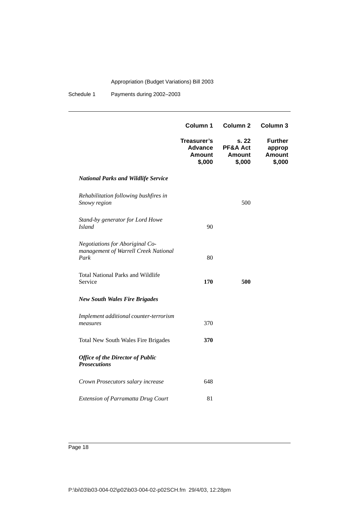Schedule 1 Payments during 2002–2003

|                                                                                 | Column 1                                          | Column <sub>2</sub>                          | Column 3                                            |
|---------------------------------------------------------------------------------|---------------------------------------------------|----------------------------------------------|-----------------------------------------------------|
|                                                                                 | Treasurer's<br><b>Advance</b><br>Amount<br>\$,000 | s. 22<br>PF&A Act<br><b>Amount</b><br>\$,000 | <b>Further</b><br>approp<br><b>Amount</b><br>\$,000 |
| <b>National Parks and Wildlife Service</b>                                      |                                                   |                                              |                                                     |
| Rehabilitation following bushfires in<br>Snowy region                           |                                                   | 500                                          |                                                     |
| Stand-by generator for Lord Howe<br><b>Island</b>                               | 90                                                |                                              |                                                     |
| Negotiations for Aboriginal Co-<br>management of Warrell Creek National<br>Park | 80                                                |                                              |                                                     |
| <b>Total National Parks and Wildlife</b><br>Service                             | 170                                               | 500                                          |                                                     |
| <b>New South Wales Fire Brigades</b>                                            |                                                   |                                              |                                                     |
| Implement additional counter-terrorism<br>measures                              | 370                                               |                                              |                                                     |
| <b>Total New South Wales Fire Brigades</b>                                      | 370                                               |                                              |                                                     |
| <b>Office of the Director of Public</b><br><b>Prosecutions</b>                  |                                                   |                                              |                                                     |
| Crown Prosecutors salary increase                                               | 648                                               |                                              |                                                     |
| Extension of Parramatta Drug Court                                              | 81                                                |                                              |                                                     |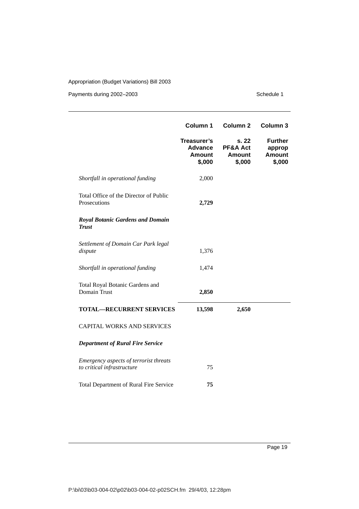Payments during 2002–2003 Schedule 1

|                                                                      | Column 1                                                 | Column <sub>2</sub>                          | Column 3                                            |
|----------------------------------------------------------------------|----------------------------------------------------------|----------------------------------------------|-----------------------------------------------------|
|                                                                      | Treasurer's<br><b>Advance</b><br><b>Amount</b><br>\$,000 | s. 22<br>PF&A Act<br><b>Amount</b><br>\$,000 | <b>Further</b><br>approp<br><b>Amount</b><br>\$,000 |
| Shortfall in operational funding                                     | 2,000                                                    |                                              |                                                     |
| Total Office of the Director of Public<br>Prosecutions               | 2,729                                                    |                                              |                                                     |
| <b>Royal Botanic Gardens and Domain</b><br><b>Trust</b>              |                                                          |                                              |                                                     |
| Settlement of Domain Car Park legal<br>dispute                       | 1,376                                                    |                                              |                                                     |
| Shortfall in operational funding                                     | 1,474                                                    |                                              |                                                     |
| Total Royal Botanic Gardens and<br>Domain Trust                      | 2,850                                                    |                                              |                                                     |
| <b>TOTAL-RECURRENT SERVICES</b>                                      | 13,598                                                   | 2,650                                        |                                                     |
| <b>CAPITAL WORKS AND SERVICES</b>                                    |                                                          |                                              |                                                     |
| <b>Department of Rural Fire Service</b>                              |                                                          |                                              |                                                     |
| Emergency aspects of terrorist threats<br>to critical infrastructure | 75                                                       |                                              |                                                     |
| Total Department of Rural Fire Service                               | 75                                                       |                                              |                                                     |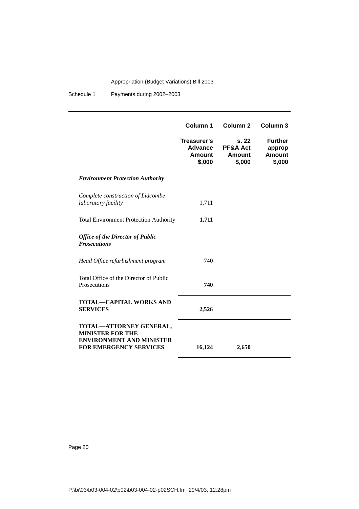Schedule 1 Payments during 2002–2003

|                                                                                                                        | Column <sub>1</sub>                               | Column <sub>2</sub>                             | Column 3                                            |
|------------------------------------------------------------------------------------------------------------------------|---------------------------------------------------|-------------------------------------------------|-----------------------------------------------------|
|                                                                                                                        | Treasurer's<br><b>Advance</b><br>Amount<br>\$,000 | s.22<br><b>PF&amp;A Act</b><br>Amount<br>\$,000 | <b>Further</b><br>approp<br><b>Amount</b><br>\$,000 |
| <b>Environment Protection Authority</b>                                                                                |                                                   |                                                 |                                                     |
| Complete construction of Lidcombe<br>laboratory facility                                                               | 1,711                                             |                                                 |                                                     |
| <b>Total Environment Protection Authority</b>                                                                          | 1,711                                             |                                                 |                                                     |
| <b>Office of the Director of Public</b><br><b>Prosecutions</b>                                                         |                                                   |                                                 |                                                     |
| Head Office refurbishment program                                                                                      | 740                                               |                                                 |                                                     |
| Total Office of the Director of Public<br>Prosecutions                                                                 | 740                                               |                                                 |                                                     |
| <b>TOTAL-CAPITAL WORKS AND</b><br><b>SERVICES</b>                                                                      | 2,526                                             |                                                 |                                                     |
| TOTAL-ATTORNEY GENERAL,<br><b>MINISTER FOR THE</b><br><b>ENVIRONMENT AND MINISTER</b><br><b>FOR EMERGENCY SERVICES</b> | 16,124                                            | 2,650                                           |                                                     |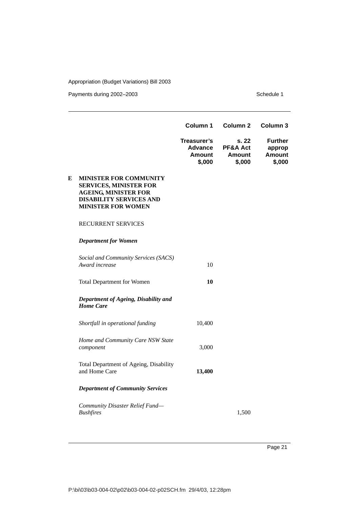Payments during 2002–2003 Schedule 1

|   |                                                                                                                                                       | Column 1                                          | Column <sub>2</sub>                                     | <b>Column 3</b>                                     |
|---|-------------------------------------------------------------------------------------------------------------------------------------------------------|---------------------------------------------------|---------------------------------------------------------|-----------------------------------------------------|
|   |                                                                                                                                                       | Treasurer's<br>Advance<br><b>Amount</b><br>\$,000 | s. 22<br><b>PF&amp;A Act</b><br><b>Amount</b><br>\$,000 | <b>Further</b><br>approp<br><b>Amount</b><br>\$,000 |
| E | MINISTER FOR COMMUNITY<br><b>SERVICES, MINISTER FOR</b><br><b>AGEING, MINISTER FOR</b><br><b>DISABILITY SERVICES AND</b><br><b>MINISTER FOR WOMEN</b> |                                                   |                                                         |                                                     |
|   | RECURRENT SERVICES                                                                                                                                    |                                                   |                                                         |                                                     |
|   | <b>Department for Women</b>                                                                                                                           |                                                   |                                                         |                                                     |
|   | Social and Community Services (SACS)<br>Award increase                                                                                                | 10                                                |                                                         |                                                     |
|   | <b>Total Department for Women</b>                                                                                                                     | 10                                                |                                                         |                                                     |
|   | Department of Ageing, Disability and<br><b>Home Care</b>                                                                                              |                                                   |                                                         |                                                     |
|   | Shortfall in operational funding                                                                                                                      | 10,400                                            |                                                         |                                                     |
|   | Home and Community Care NSW State<br>component                                                                                                        | 3,000                                             |                                                         |                                                     |
|   | Total Department of Ageing, Disability<br>and Home Care                                                                                               | 13,400                                            |                                                         |                                                     |
|   | <b>Department of Community Services</b>                                                                                                               |                                                   |                                                         |                                                     |
|   | Community Disaster Relief Fund-<br><b>Bushfires</b>                                                                                                   |                                                   | 1.500                                                   |                                                     |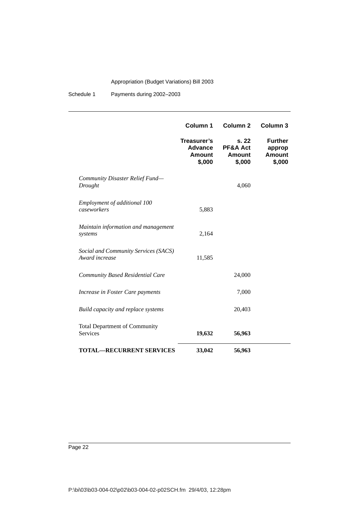Schedule 1 Payments during 2002–2003

|                                                        | Column 1                                                 | Column <sub>2</sub>                                     | Column 3                                            |
|--------------------------------------------------------|----------------------------------------------------------|---------------------------------------------------------|-----------------------------------------------------|
|                                                        | Treasurer's<br><b>Advance</b><br><b>Amount</b><br>\$,000 | s. 22<br><b>PF&amp;A Act</b><br><b>Amount</b><br>\$,000 | <b>Further</b><br>approp<br><b>Amount</b><br>\$,000 |
| Community Disaster Relief Fund-<br>Drought             |                                                          | 4,060                                                   |                                                     |
| Employment of additional 100<br>caseworkers            | 5,883                                                    |                                                         |                                                     |
| Maintain information and management<br>systems         | 2,164                                                    |                                                         |                                                     |
| Social and Community Services (SACS)<br>Award increase | 11,585                                                   |                                                         |                                                     |
| Community Based Residential Care                       |                                                          | 24,000                                                  |                                                     |
| Increase in Foster Care payments                       |                                                          | 7,000                                                   |                                                     |
| Build capacity and replace systems                     |                                                          | 20,403                                                  |                                                     |
| <b>Total Department of Community</b><br>Services       | 19,632                                                   | 56,963                                                  |                                                     |
| <b>TOTAL—RECURRENT SERVICES</b>                        | 33,042                                                   | 56,963                                                  |                                                     |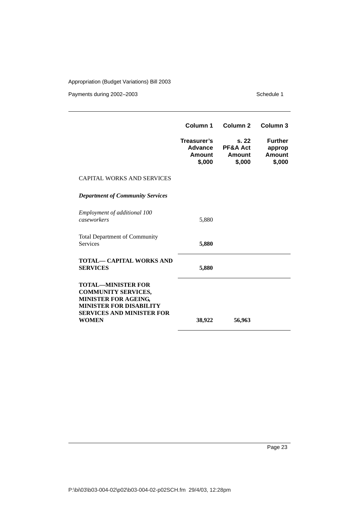Payments during 2002–2003 Schedule 1

|                                                                                                                                                                              | Column 1                                   | Column <sub>2</sub>                  | Column 3                                            |
|------------------------------------------------------------------------------------------------------------------------------------------------------------------------------|--------------------------------------------|--------------------------------------|-----------------------------------------------------|
|                                                                                                                                                                              | Treasurer's<br>Advance<br>Amount<br>\$,000 | s.22<br>PF&A Act<br>Amount<br>\$,000 | <b>Further</b><br>approp<br><b>Amount</b><br>\$,000 |
| <b>CAPITAL WORKS AND SERVICES</b>                                                                                                                                            |                                            |                                      |                                                     |
| <b>Department of Community Services</b>                                                                                                                                      |                                            |                                      |                                                     |
| Employment of additional 100<br>caseworkers                                                                                                                                  | 5,880                                      |                                      |                                                     |
| <b>Total Department of Community</b><br><b>Services</b>                                                                                                                      | 5,880                                      |                                      |                                                     |
| <b>TOTAL— CAPITAL WORKS AND</b><br><b>SERVICES</b>                                                                                                                           | 5,880                                      |                                      |                                                     |
| <b>TOTAL-MINISTER FOR</b><br><b>COMMUNITY SERVICES,</b><br><b>MINISTER FOR AGEING,</b><br><b>MINISTER FOR DISABILITY</b><br><b>SERVICES AND MINISTER FOR</b><br><b>WOMEN</b> | 38,922                                     | 56,963                               |                                                     |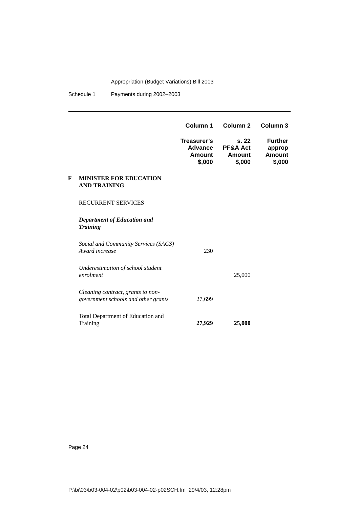Schedule 1 Payments during 2002–2003

|   |                                                                          | Column 1                                   | Column <sub>2</sub>                  | Column <sub>3</sub>                          |
|---|--------------------------------------------------------------------------|--------------------------------------------|--------------------------------------|----------------------------------------------|
|   |                                                                          | Treasurer's<br>Advance<br>Amount<br>\$,000 | s.22<br>PF&A Act<br>Amount<br>\$,000 | <b>Further</b><br>approp<br>Amount<br>\$,000 |
| F | <b>MINISTER FOR EDUCATION</b><br><b>AND TRAINING</b>                     |                                            |                                      |                                              |
|   | <b>RECURRENT SERVICES</b>                                                |                                            |                                      |                                              |
|   | <b>Department of Education and</b><br><b>Training</b>                    |                                            |                                      |                                              |
|   | Social and Community Services (SACS)<br>Award increase                   | 230                                        |                                      |                                              |
|   | Underestimation of school student<br>enrolment                           |                                            | 25,000                               |                                              |
|   | Cleaning contract, grants to non-<br>government schools and other grants | 27,699                                     |                                      |                                              |
|   | Total Department of Education and<br>Training                            | 27,929                                     | 25,000                               |                                              |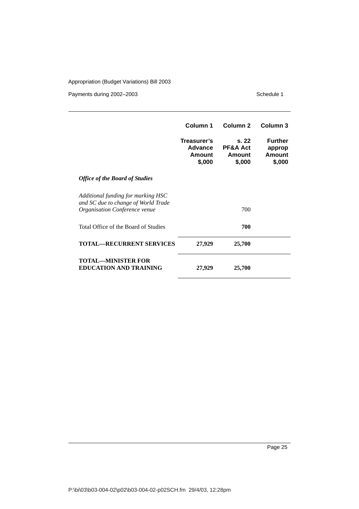Payments during 2002–2003 Schedule 1

|                                                                                                            | Column 1                                   | Column <sub>2</sub>                             | Column 3                                     |
|------------------------------------------------------------------------------------------------------------|--------------------------------------------|-------------------------------------------------|----------------------------------------------|
|                                                                                                            | Treasurer's<br>Advance<br>Amount<br>\$,000 | s.22<br><b>PF&amp;A Act</b><br>Amount<br>\$,000 | <b>Further</b><br>approp<br>Amount<br>\$,000 |
| <b>Office of the Board of Studies</b>                                                                      |                                            |                                                 |                                              |
| Additional funding for marking HSC<br>and SC due to change of World Trade<br>Organisation Conference venue |                                            | 700                                             |                                              |
| Total Office of the Board of Studies                                                                       |                                            | 700                                             |                                              |
| <b>TOTAL—RECURRENT SERVICES</b>                                                                            | 27,929                                     | 25,700                                          |                                              |
| <b>TOTAL—MINISTER FOR</b><br><b>EDUCATION AND TRAINING</b>                                                 | 27,929                                     | 25,700                                          |                                              |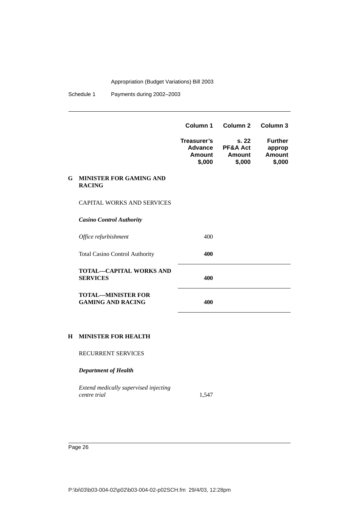Schedule 1 Payments during 2002–2003

|                                                       | Column 1                                                 | Column <sub>2</sub>                             | Column 3                                     |
|-------------------------------------------------------|----------------------------------------------------------|-------------------------------------------------|----------------------------------------------|
|                                                       | Treasurer's<br><b>Advance</b><br><b>Amount</b><br>\$,000 | s.22<br><b>PF&amp;A Act</b><br>Amount<br>\$,000 | <b>Further</b><br>approp<br>Amount<br>\$,000 |
| <b>MINISTER FOR GAMING AND</b><br><b>RACING</b>       |                                                          |                                                 |                                              |
| <b>CAPITAL WORKS AND SERVICES</b>                     |                                                          |                                                 |                                              |
| <b>Casino Control Authority</b>                       |                                                          |                                                 |                                              |
| Office refurbishment                                  | 400                                                      |                                                 |                                              |
| <b>Total Casino Control Authority</b>                 | 400                                                      |                                                 |                                              |
| <b>TOTAL—CAPITAL WORKS AND</b><br><b>SERVICES</b>     | 400                                                      |                                                 |                                              |
| <b>TOTAL—MINISTER FOR</b><br><b>GAMING AND RACING</b> | 400                                                      |                                                 |                                              |
|                                                       |                                                          |                                                 |                                              |

#### **H MINISTER FOR HEALTH**

RECURRENT SERVICES

*Department of Health*

*Extend medically supervised injecting centre trial* 1,547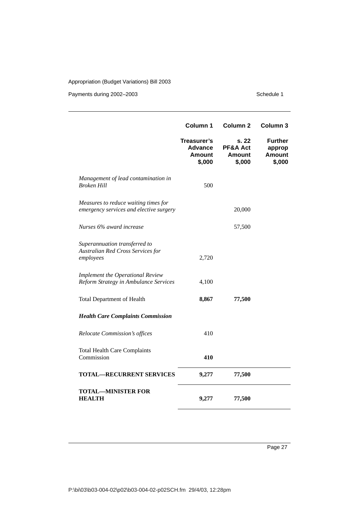Payments during 2002–2003 Schedule 1

|                                                                                        | Column 1                                                 | Column <sub>2</sub>                          | Column 3                                            |
|----------------------------------------------------------------------------------------|----------------------------------------------------------|----------------------------------------------|-----------------------------------------------------|
|                                                                                        | Treasurer's<br><b>Advance</b><br><b>Amount</b><br>\$,000 | s. 22<br>PF&A Act<br><b>Amount</b><br>\$,000 | <b>Further</b><br>approp<br><b>Amount</b><br>\$,000 |
| Management of lead contamination in<br><b>Broken Hill</b>                              | 500                                                      |                                              |                                                     |
| Measures to reduce waiting times for<br>emergency services and elective surgery        |                                                          | 20,000                                       |                                                     |
| Nurses 6% award increase                                                               |                                                          | 57,500                                       |                                                     |
| Superannuation transferred to<br><b>Australian Red Cross Services for</b><br>employees | 2,720                                                    |                                              |                                                     |
| <b>Implement the Operational Review</b><br>Reform Strategy in Ambulance Services       | 4,100                                                    |                                              |                                                     |
| <b>Total Department of Health</b>                                                      | 8,867                                                    | 77,500                                       |                                                     |
| <b>Health Care Complaints Commission</b>                                               |                                                          |                                              |                                                     |
| Relocate Commission's offices                                                          | 410                                                      |                                              |                                                     |
| <b>Total Health Care Complaints</b><br>Commission                                      | 410                                                      |                                              |                                                     |
| <b>TOTAL-RECURRENT SERVICES</b>                                                        | 9,277                                                    | 77,500                                       |                                                     |
| <b>TOTAL-MINISTER FOR</b><br><b>HEALTH</b>                                             | 9,277                                                    | 77,500                                       |                                                     |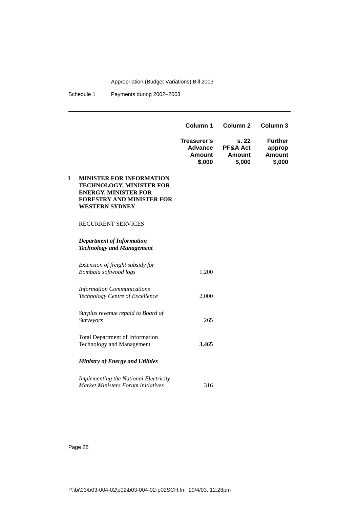Schedule 1 Payments during 2002–2003

|   |                                                                                                                                                         | Column 1                                                 | Column <sub>2</sub>                                    | Column <sub>3</sub>                          |
|---|---------------------------------------------------------------------------------------------------------------------------------------------------------|----------------------------------------------------------|--------------------------------------------------------|----------------------------------------------|
|   |                                                                                                                                                         | Treasurer's<br><b>Advance</b><br><b>Amount</b><br>\$,000 | s.22<br><b>PF&amp;A Act</b><br><b>Amount</b><br>\$,000 | <b>Further</b><br>approp<br>Amount<br>\$,000 |
| I | <b>MINISTER FOR INFORMATION</b><br>TECHNOLOGY, MINISTER FOR<br><b>ENERGY, MINISTER FOR</b><br><b>FORESTRY AND MINISTER FOR</b><br><b>WESTERN SYDNEY</b> |                                                          |                                                        |                                              |
|   | <b>RECURRENT SERVICES</b>                                                                                                                               |                                                          |                                                        |                                              |
|   | <b>Department of Information</b><br><b>Technology and Management</b>                                                                                    |                                                          |                                                        |                                              |
|   | Extension of freight subsidy for<br>Bombala softwood logs                                                                                               | 1,200                                                    |                                                        |                                              |
|   | <b>Information Communications</b><br>Technology Centre of Excellence                                                                                    | 2,000                                                    |                                                        |                                              |
|   | Surplus revenue repaid to Board of<br>Surveyors                                                                                                         | 265                                                      |                                                        |                                              |
|   | <b>Total Department of Information</b><br><b>Technology and Management</b>                                                                              | 3,465                                                    |                                                        |                                              |
|   | <b>Ministry of Energy and Utilities</b>                                                                                                                 |                                                          |                                                        |                                              |
|   | Implementing the National Electricity<br><b>Market Ministers Forum initiatives</b>                                                                      | 316                                                      |                                                        |                                              |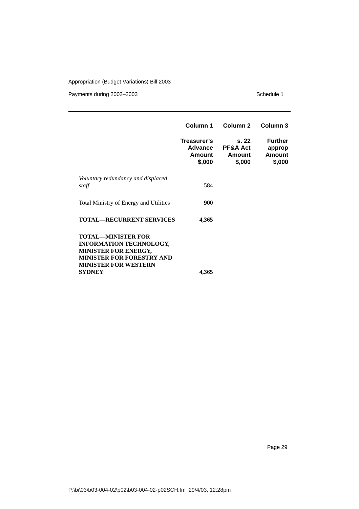Payments during 2002–2003 Schedule 1

|                                                                                                                                                                                | Column 1                                   | Column <sub>2</sub>                             | Column 3                                     |
|--------------------------------------------------------------------------------------------------------------------------------------------------------------------------------|--------------------------------------------|-------------------------------------------------|----------------------------------------------|
|                                                                                                                                                                                | Treasurer's<br>Advance<br>Amount<br>\$,000 | s.22<br><b>PF&amp;A Act</b><br>Amount<br>\$,000 | <b>Further</b><br>approp<br>Amount<br>\$,000 |
| Voluntary redundancy and displaced<br>staff                                                                                                                                    | 584                                        |                                                 |                                              |
| <b>Total Ministry of Energy and Utilities</b>                                                                                                                                  | 900                                        |                                                 |                                              |
| <b>TOTAL—RECURRENT SERVICES</b>                                                                                                                                                | 4,365                                      |                                                 |                                              |
| <b>TOTAL—MINISTER FOR</b><br><b>INFORMATION TECHNOLOGY,</b><br><b>MINISTER FOR ENERGY,</b><br><b>MINISTER FOR FORESTRY AND</b><br><b>MINISTER FOR WESTERN</b><br><b>SYDNEY</b> | 4,365                                      |                                                 |                                              |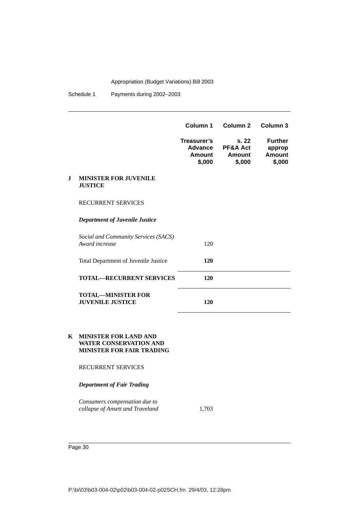Schedule 1 Payments during 2002–2003

|    |                                                        | Column 1                                          | Column 2                             | Column 3                                     |
|----|--------------------------------------------------------|---------------------------------------------------|--------------------------------------|----------------------------------------------|
|    |                                                        | Treasurer's<br><b>Advance</b><br>Amount<br>\$,000 | s.22<br>PF&A Act<br>Amount<br>\$,000 | <b>Further</b><br>approp<br>Amount<br>\$,000 |
| J. | <b>MINISTER FOR JUVENILE</b><br><b>JUSTICE</b>         |                                                   |                                      |                                              |
|    | <b>RECURRENT SERVICES</b>                              |                                                   |                                      |                                              |
|    | <b>Department of Juvenile Justice</b>                  |                                                   |                                      |                                              |
|    | Social and Community Services (SACS)<br>Award increase | 120                                               |                                      |                                              |
|    | Total Department of Juvenile Justice                   | 120                                               |                                      |                                              |
|    | <b>TOTAL—RECURRENT SERVICES</b>                        | 120                                               |                                      |                                              |
|    | <b>TOTAL—MINISTER FOR</b><br><b>JUVENILE JUSTICE</b>   | 120                                               |                                      |                                              |

#### **K MINISTER FOR LAND AND WATER CONSERVATION AND MINISTER FOR FAIR TRADING**

#### RECURRENT SERVICES

#### *Department of Fair Trading*

*Consumers compensation due to collapse of Ansett and Traveland* 1,703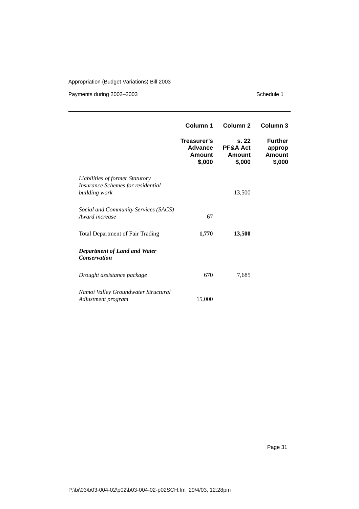Payments during 2002–2003 Schedule 1

|                                                                                       | Column 1                                   | Column <sub>2</sub>                             | <b>Column 3</b>                              |
|---------------------------------------------------------------------------------------|--------------------------------------------|-------------------------------------------------|----------------------------------------------|
|                                                                                       | Treasurer's<br>Advance<br>Amount<br>\$,000 | s.22<br><b>PF&amp;A Act</b><br>Amount<br>\$,000 | <b>Further</b><br>approp<br>Amount<br>\$,000 |
| Liabilities of former Statutory<br>Insurance Schemes for residential<br>building work |                                            | 13,500                                          |                                              |
| Social and Community Services (SACS)<br>Award increase                                | 67                                         |                                                 |                                              |
| <b>Total Department of Fair Trading</b>                                               | 1,770                                      | 13,500                                          |                                              |
| <b>Department of Land and Water</b><br><b>Conservation</b>                            |                                            |                                                 |                                              |
| Drought assistance package                                                            | 670                                        | 7,685                                           |                                              |
| Namoi Valley Groundwater Structural<br>Adjustment program                             | 15,000                                     |                                                 |                                              |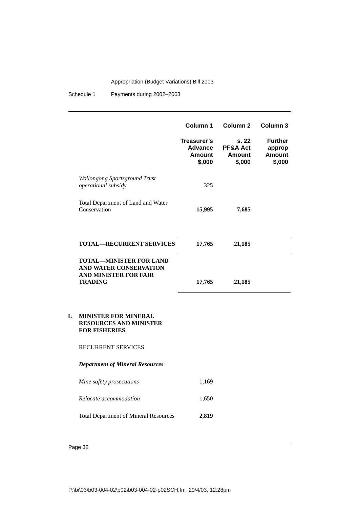Schedule 1 Payments during 2002–2003

|                                                                                                            | Column 1<br>Treasurer's<br><b>Advance</b><br><b>Amount</b><br>\$,000 | Column <sub>2</sub><br>s. 22<br>PF&A Act<br><b>Amount</b><br>\$,000 | Column 3<br><b>Further</b><br>approp<br><b>Amount</b><br>\$,000 |
|------------------------------------------------------------------------------------------------------------|----------------------------------------------------------------------|---------------------------------------------------------------------|-----------------------------------------------------------------|
| Wollongong Sportsground Trust<br>operational subsidy                                                       | 325                                                                  |                                                                     |                                                                 |
| Total Department of Land and Water<br>Conservation                                                         | 15,995                                                               | 7,685                                                               |                                                                 |
| <b>TOTAL—RECURRENT SERVICES</b>                                                                            | 17,765                                                               | 21,185                                                              |                                                                 |
| <b>TOTAL-MINISTER FOR LAND</b><br>AND WATER CONSERVATION<br><b>AND MINISTER FOR FAIR</b><br><b>TRADING</b> | 17,765                                                               | 21,185                                                              |                                                                 |
| L<br><b>MINISTER FOR MINERAL</b><br><b>RESOURCES AND MINISTER</b><br><b>FOR FISHERIES</b>                  |                                                                      |                                                                     |                                                                 |
| RECURRENT SERVICES                                                                                         |                                                                      |                                                                     |                                                                 |
| <b>Department of Mineral Resources</b>                                                                     |                                                                      |                                                                     |                                                                 |
| Mine safety prosecutions                                                                                   | 1,169                                                                |                                                                     |                                                                 |
| Relocate accommodation                                                                                     | 1,650                                                                |                                                                     |                                                                 |
| <b>Total Department of Mineral Resources</b>                                                               | 2,819                                                                |                                                                     |                                                                 |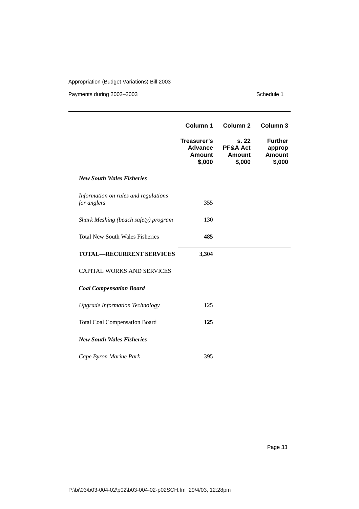Payments during 2002–2003 Schedule 1

|                                                     | Column 1                                                 | Column <sub>2</sub>                                    | Column <sub>3</sub>                                 |
|-----------------------------------------------------|----------------------------------------------------------|--------------------------------------------------------|-----------------------------------------------------|
|                                                     | Treasurer's<br><b>Advance</b><br><b>Amount</b><br>\$,000 | s.22<br><b>PF&amp;A Act</b><br><b>Amount</b><br>\$,000 | <b>Further</b><br>approp<br><b>Amount</b><br>\$,000 |
| <b>New South Wales Fisheries</b>                    |                                                          |                                                        |                                                     |
| Information on rules and regulations<br>for anglers | 355                                                      |                                                        |                                                     |
| Shark Meshing (beach safety) program                | 130                                                      |                                                        |                                                     |
| <b>Total New South Wales Fisheries</b>              | 485                                                      |                                                        |                                                     |
| <b>TOTAL-RECURRENT SERVICES</b>                     | 3,304                                                    |                                                        |                                                     |
| <b>CAPITAL WORKS AND SERVICES</b>                   |                                                          |                                                        |                                                     |
| <b>Coal Compensation Board</b>                      |                                                          |                                                        |                                                     |
| <b>Upgrade Information Technology</b>               | 125                                                      |                                                        |                                                     |
| <b>Total Coal Compensation Board</b>                | 125                                                      |                                                        |                                                     |
| <b>New South Wales Fisheries</b>                    |                                                          |                                                        |                                                     |
| Cape Byron Marine Park                              | 395                                                      |                                                        |                                                     |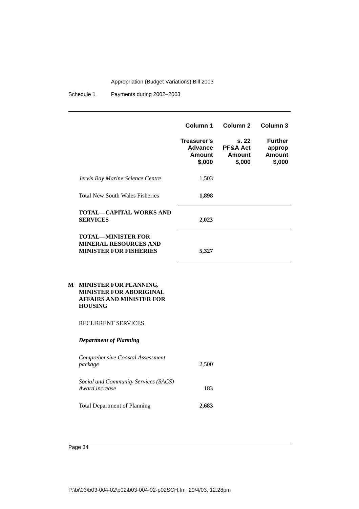Schedule 1 Payments during 2002–2003

|                                                                                            | Column 1                                   | Column 2                                        | Column 3                                     |
|--------------------------------------------------------------------------------------------|--------------------------------------------|-------------------------------------------------|----------------------------------------------|
|                                                                                            | Treasurer's<br>Advance<br>Amount<br>\$,000 | s.22<br><b>PF&amp;A Act</b><br>Amount<br>\$,000 | <b>Further</b><br>approp<br>Amount<br>\$,000 |
| Jervis Bay Marine Science Centre                                                           | 1,503                                      |                                                 |                                              |
| <b>Total New South Wales Fisheries</b>                                                     | 1,898                                      |                                                 |                                              |
| <b>TOTAL—CAPITAL WORKS AND</b><br><b>SERVICES</b>                                          | 2,023                                      |                                                 |                                              |
| <b>TOTAL—MINISTER FOR</b><br><b>MINERAL RESOURCES AND</b><br><b>MINISTER FOR FISHERIES</b> | 5,327                                      |                                                 |                                              |

#### **M MINISTER FOR PLANNING, MINISTER FOR ABORIGINAL AFFAIRS AND MINISTER FOR HOUSING**

RECURRENT SERVICES

*Department of Planning*

| package        | Comprehensive Coastal Assessment     | 2,500 |
|----------------|--------------------------------------|-------|
| Award increase | Social and Community Services (SACS) | 183   |
|                |                                      |       |

Total Department of Planning **2,683**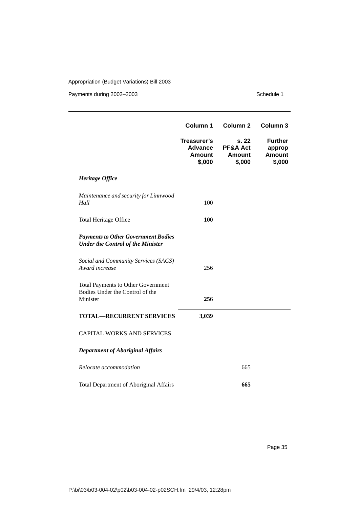Payments during 2002–2003 Schedule 1

|                                                                                          | Column 1                                          | Column <sub>2</sub>                          | Column <sub>3</sub>                                 |
|------------------------------------------------------------------------------------------|---------------------------------------------------|----------------------------------------------|-----------------------------------------------------|
|                                                                                          | Treasurer's<br>Advance<br><b>Amount</b><br>\$,000 | s. 22<br>PF&A Act<br><b>Amount</b><br>\$,000 | <b>Further</b><br>approp<br><b>Amount</b><br>\$,000 |
| Heritage Office                                                                          |                                                   |                                              |                                                     |
| Maintenance and security for Linnwood<br>Hall                                            | 100                                               |                                              |                                                     |
| <b>Total Heritage Office</b>                                                             | 100                                               |                                              |                                                     |
| <b>Payments to Other Government Bodies</b><br><b>Under the Control of the Minister</b>   |                                                   |                                              |                                                     |
| Social and Community Services (SACS)<br>Award increase                                   | 256                                               |                                              |                                                     |
| <b>Total Payments to Other Government</b><br>Bodies Under the Control of the<br>Minister | 256                                               |                                              |                                                     |
| <b>TOTAL-RECURRENT SERVICES</b>                                                          | 3,039                                             |                                              |                                                     |
| <b>CAPITAL WORKS AND SERVICES</b>                                                        |                                                   |                                              |                                                     |
| <b>Department of Aboriginal Affairs</b>                                                  |                                                   |                                              |                                                     |
| Relocate accommodation                                                                   |                                                   | 665                                          |                                                     |
| <b>Total Department of Aboriginal Affairs</b>                                            |                                                   | 665                                          |                                                     |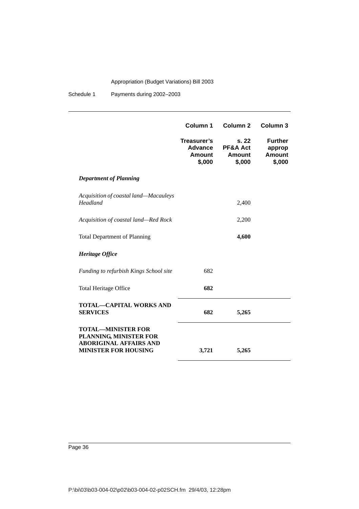Schedule 1 Payments during 2002–2003

|                                                                                                                     | Column 1                                          | Column <sub>2</sub>                         | Column <sub>3</sub>                                 |
|---------------------------------------------------------------------------------------------------------------------|---------------------------------------------------|---------------------------------------------|-----------------------------------------------------|
|                                                                                                                     | Treasurer's<br>Advance<br><b>Amount</b><br>\$,000 | s.22<br>PF&A Act<br><b>Amount</b><br>\$,000 | <b>Further</b><br>approp<br><b>Amount</b><br>\$,000 |
| <b>Department of Planning</b>                                                                                       |                                                   |                                             |                                                     |
| Acquisition of coastal land—Macauleys<br>Headland                                                                   |                                                   | 2,400                                       |                                                     |
| Acquisition of coastal land-Red Rock                                                                                |                                                   | 2,200                                       |                                                     |
| <b>Total Department of Planning</b>                                                                                 |                                                   | 4,600                                       |                                                     |
| Heritage Office                                                                                                     |                                                   |                                             |                                                     |
| Funding to refurbish Kings School site                                                                              | 682                                               |                                             |                                                     |
| <b>Total Heritage Office</b>                                                                                        | 682                                               |                                             |                                                     |
| <b>TOTAL-CAPITAL WORKS AND</b><br><b>SERVICES</b>                                                                   | 682                                               | 5,265                                       |                                                     |
| <b>TOTAL-MINISTER FOR</b><br>PLANNING, MINISTER FOR<br><b>ABORIGINAL AFFAIRS AND</b><br><b>MINISTER FOR HOUSING</b> | 3,721                                             | 5,265                                       |                                                     |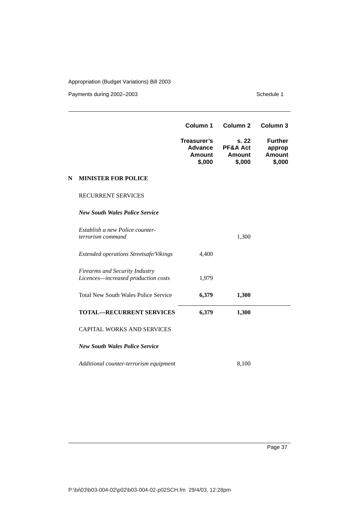Payments during 2002–2003 Schedule 1

|   |                                                                       | Column 1                                                 | Column <sub>2</sub>                         | Column 3                                            |
|---|-----------------------------------------------------------------------|----------------------------------------------------------|---------------------------------------------|-----------------------------------------------------|
|   |                                                                       | Treasurer's<br><b>Advance</b><br><b>Amount</b><br>\$,000 | s.22<br>PF&A Act<br><b>Amount</b><br>\$,000 | <b>Further</b><br>approp<br><b>Amount</b><br>\$,000 |
| N | <b>MINISTER FOR POLICE</b>                                            |                                                          |                                             |                                                     |
|   | <b>RECURRENT SERVICES</b>                                             |                                                          |                                             |                                                     |
|   | <b>New South Wales Police Service</b>                                 |                                                          |                                             |                                                     |
|   | Establish a new Police counter-<br>terrorism command                  |                                                          | 1,300                                       |                                                     |
|   | Extended operations Streetsafe/Vikings                                | 4,400                                                    |                                             |                                                     |
|   | Firearms and Security Industry<br>Licences-increased production costs | 1,979                                                    |                                             |                                                     |
|   | <b>Total New South Wales Police Service</b>                           | 6,379                                                    | 1,300                                       |                                                     |
|   | <b>TOTAL-RECURRENT SERVICES</b>                                       | 6,379                                                    | 1,300                                       |                                                     |
|   | <b>CAPITAL WORKS AND SERVICES</b>                                     |                                                          |                                             |                                                     |
|   | <b>New South Wales Police Service</b>                                 |                                                          |                                             |                                                     |
|   | Additional counter-terrorism equipment                                |                                                          | 8,100                                       |                                                     |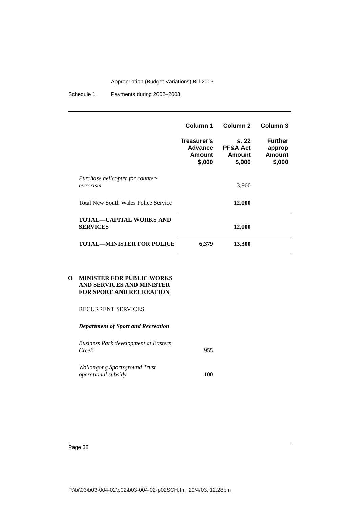Schedule 1 Payments during 2002–2003

|                                               | Column 1                                   | Column <sub>2</sub>                             | Column 3                                     |
|-----------------------------------------------|--------------------------------------------|-------------------------------------------------|----------------------------------------------|
|                                               | Treasurer's<br>Advance<br>Amount<br>\$,000 | s.22<br><b>PF&amp;A Act</b><br>Amount<br>\$,000 | <b>Further</b><br>approp<br>Amount<br>\$,000 |
| Purchase helicopter for counter-<br>terrorism |                                            | 3,900                                           |                                              |
| <b>Total New South Wales Police Service</b>   |                                            | 12,000                                          |                                              |
| TOTAL—CAPITAL WORKS AND<br><b>SERVICES</b>    |                                            | 12,000                                          |                                              |
| <b>TOTAL—MINISTER FOR POLICE</b>              | 6,379                                      | 13,300                                          |                                              |

#### **O MINISTER FOR PUBLIC WORKS AND SERVICES AND MINISTER FOR SPORT AND RECREATION**

#### RECURRENT SERVICES

*Department of Sport and Recreation*

| Business Park development at Eastern |     |
|--------------------------------------|-----|
| Creek                                | 955 |
| Wollongong Sportsground Trust        |     |
| operational subsidy                  | 100 |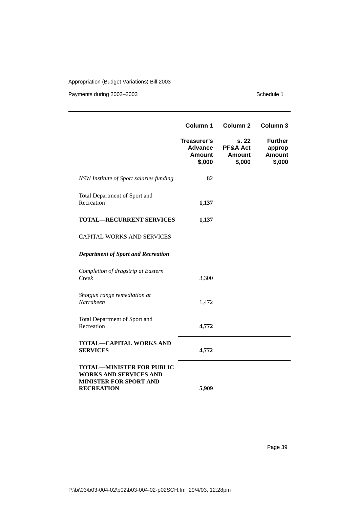Payments during 2002–2003 Schedule 1

|                                                                                                                         | Column 1                                          | Column <sub>2</sub>                          | Column <sub>3</sub>                                 |
|-------------------------------------------------------------------------------------------------------------------------|---------------------------------------------------|----------------------------------------------|-----------------------------------------------------|
|                                                                                                                         | Treasurer's<br><b>Advance</b><br>Amount<br>\$,000 | s. 22<br>PF&A Act<br><b>Amount</b><br>\$,000 | <b>Further</b><br>approp<br><b>Amount</b><br>\$,000 |
| NSW Institute of Sport salaries funding                                                                                 | 82                                                |                                              |                                                     |
| Total Department of Sport and<br>Recreation                                                                             | 1,137                                             |                                              |                                                     |
| <b>TOTAL-RECURRENT SERVICES</b>                                                                                         | 1,137                                             |                                              |                                                     |
| <b>CAPITAL WORKS AND SERVICES</b>                                                                                       |                                                   |                                              |                                                     |
| <b>Department of Sport and Recreation</b>                                                                               |                                                   |                                              |                                                     |
| Completion of dragstrip at Eastern<br>Creek                                                                             | 3,300                                             |                                              |                                                     |
| Shotgun range remediation at<br>Narrabeen                                                                               | 1,472                                             |                                              |                                                     |
| Total Department of Sport and<br>Recreation                                                                             | 4,772                                             |                                              |                                                     |
| <b>TOTAL-CAPITAL WORKS AND</b><br><b>SERVICES</b>                                                                       | 4,772                                             |                                              |                                                     |
| <b>TOTAL-MINISTER FOR PUBLIC</b><br><b>WORKS AND SERVICES AND</b><br><b>MINISTER FOR SPORT AND</b><br><b>RECREATION</b> | 5,909                                             |                                              |                                                     |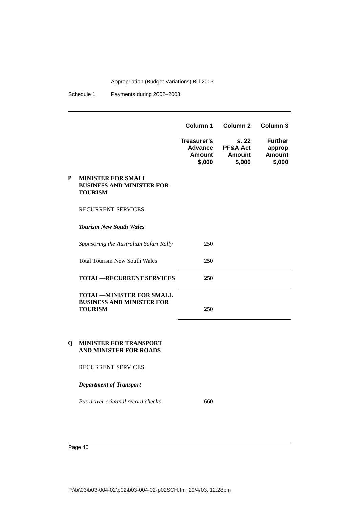Schedule 1 Payments during 2002–2003

|   |                                                                                       | Column 1                                          | Column <sub>2</sub>                                    | Column <sub>3</sub>                                 |
|---|---------------------------------------------------------------------------------------|---------------------------------------------------|--------------------------------------------------------|-----------------------------------------------------|
|   |                                                                                       | Treasurer's<br><b>Advance</b><br>Amount<br>\$,000 | s.22<br><b>PF&amp;A Act</b><br><b>Amount</b><br>\$,000 | <b>Further</b><br>approp<br><b>Amount</b><br>\$,000 |
| P | <b>MINISTER FOR SMALL</b><br><b>BUSINESS AND MINISTER FOR</b><br><b>TOURISM</b>       |                                                   |                                                        |                                                     |
|   | <b>RECURRENT SERVICES</b>                                                             |                                                   |                                                        |                                                     |
|   | <b>Tourism New South Wales</b>                                                        |                                                   |                                                        |                                                     |
|   | Sponsoring the Australian Safari Rally                                                | 250                                               |                                                        |                                                     |
|   | <b>Total Tourism New South Wales</b>                                                  | 250                                               |                                                        |                                                     |
|   | <b>TOTAL—RECURRENT SERVICES</b>                                                       | 250                                               |                                                        |                                                     |
|   | <b>TOTAL—MINISTER FOR SMALL</b><br><b>BUSINESS AND MINISTER FOR</b><br><b>TOURISM</b> | 250                                               |                                                        |                                                     |

#### **Q MINISTER FOR TRANSPORT AND MINISTER FOR ROADS**

RECURRENT SERVICES

*Department of Transport*

*Bus driver criminal record checks* 660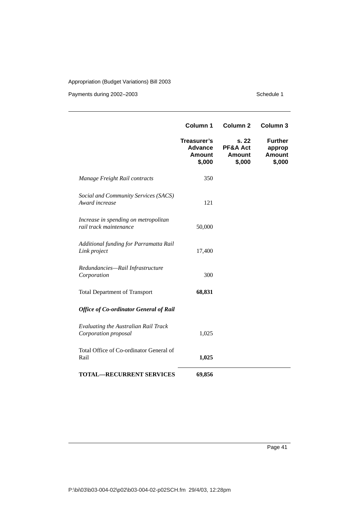Payments during 2002–2003 Schedule 1

|                                                                | Column 1                                                 | Column <sub>2</sub>                          | Column <sub>3</sub>                                 |
|----------------------------------------------------------------|----------------------------------------------------------|----------------------------------------------|-----------------------------------------------------|
|                                                                | Treasurer's<br><b>Advance</b><br><b>Amount</b><br>\$,000 | s. 22<br>PF&A Act<br><b>Amount</b><br>\$,000 | <b>Further</b><br>approp<br><b>Amount</b><br>\$,000 |
| Manage Freight Rail contracts                                  | 350                                                      |                                              |                                                     |
| Social and Community Services (SACS)<br>Award increase         | 121                                                      |                                              |                                                     |
| Increase in spending on metropolitan<br>rail track maintenance | 50,000                                                   |                                              |                                                     |
| Additional funding for Parramatta Rail<br>Link project         | 17,400                                                   |                                              |                                                     |
| Redundancies-Rail Infrastructure<br>Corporation                | 300                                                      |                                              |                                                     |
| <b>Total Department of Transport</b>                           | 68,831                                                   |                                              |                                                     |
| <b>Office of Co-ordinator General of Rail</b>                  |                                                          |                                              |                                                     |
| Evaluating the Australian Rail Track<br>Corporation proposal   | 1,025                                                    |                                              |                                                     |
| Total Office of Co-ordinator General of<br>Rail                | 1,025                                                    |                                              |                                                     |
| <b>TOTAL-RECURRENT SERVICES</b>                                | 69,856                                                   |                                              |                                                     |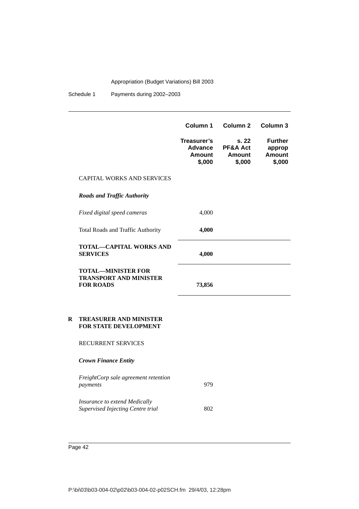Schedule 1 Payments during 2002–2003

|   |                                                                                | Column 1                                                 | Column <sub>2</sub>                          | Column <sub>3</sub>                                 |
|---|--------------------------------------------------------------------------------|----------------------------------------------------------|----------------------------------------------|-----------------------------------------------------|
|   |                                                                                | Treasurer's<br><b>Advance</b><br><b>Amount</b><br>\$,000 | s. 22<br>PF&A Act<br><b>Amount</b><br>\$,000 | <b>Further</b><br>approp<br><b>Amount</b><br>\$,000 |
|   | <b>CAPITAL WORKS AND SERVICES</b>                                              |                                                          |                                              |                                                     |
|   | <b>Roads and Traffic Authority</b>                                             |                                                          |                                              |                                                     |
|   | Fixed digital speed cameras                                                    | 4,000                                                    |                                              |                                                     |
|   | Total Roads and Traffic Authority                                              | 4,000                                                    |                                              |                                                     |
|   | <b>TOTAL-CAPITAL WORKS AND</b><br><b>SERVICES</b>                              | 4,000                                                    |                                              |                                                     |
|   | <b>TOTAL-MINISTER FOR</b><br><b>TRANSPORT AND MINISTER</b><br><b>FOR ROADS</b> | 73,856                                                   |                                              |                                                     |
| R | <b>TREASURER AND MINISTER</b><br>FOR STATE DEVELOPMENT                         |                                                          |                                              |                                                     |
|   | <b>RECURRENT SERVICES</b>                                                      |                                                          |                                              |                                                     |
|   | <b>Crown Finance Entity</b>                                                    |                                                          |                                              |                                                     |
|   | FreightCorp sale agreement retention<br>payments                               | 979                                                      |                                              |                                                     |

*Insurance to extend Medically Supervised Injecting Centre trial* 602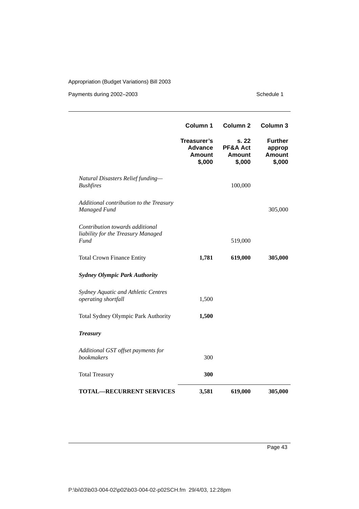Payments during 2002–2003 Schedule 1

|                                                                               | Column 1                                                 | Column <sub>2</sub>                          | Column 3                                            |
|-------------------------------------------------------------------------------|----------------------------------------------------------|----------------------------------------------|-----------------------------------------------------|
|                                                                               | Treasurer's<br><b>Advance</b><br><b>Amount</b><br>\$,000 | s. 22<br>PF&A Act<br><b>Amount</b><br>\$,000 | <b>Further</b><br>approp<br><b>Amount</b><br>\$,000 |
| Natural Disasters Relief funding-<br><b>Bushfires</b>                         |                                                          | 100,000                                      |                                                     |
| Additional contribution to the Treasury<br>Managed Fund                       |                                                          |                                              | 305,000                                             |
| Contribution towards additional<br>liability for the Treasury Managed<br>Fund |                                                          | 519,000                                      |                                                     |
| <b>Total Crown Finance Entity</b>                                             | 1,781                                                    | 619,000                                      | 305,000                                             |
| <b>Sydney Olympic Park Authority</b>                                          |                                                          |                                              |                                                     |
| Sydney Aquatic and Athletic Centres<br>operating shortfall                    | 1,500                                                    |                                              |                                                     |
| Total Sydney Olympic Park Authority                                           | 1,500                                                    |                                              |                                                     |
| <b>Treasury</b>                                                               |                                                          |                                              |                                                     |
| Additional GST offset payments for<br>bookmakers                              | 300                                                      |                                              |                                                     |
| <b>Total Treasury</b>                                                         | 300                                                      |                                              |                                                     |
| <b>TOTAL-RECURRENT SERVICES</b>                                               | 3,581                                                    | 619,000                                      | 305,000                                             |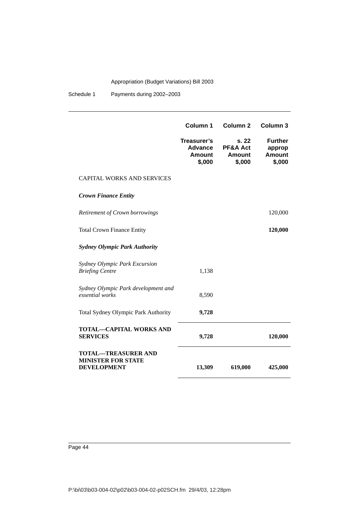Schedule 1 Payments during 2002–2003

|                                                                               | Column <sub>1</sub>                               | Column <sub>2</sub>                  | Column <sub>3</sub>                                 |
|-------------------------------------------------------------------------------|---------------------------------------------------|--------------------------------------|-----------------------------------------------------|
|                                                                               | Treasurer's<br>Advance<br><b>Amount</b><br>\$,000 | s.22<br>PF&A Act<br>Amount<br>\$,000 | <b>Further</b><br>approp<br><b>Amount</b><br>\$,000 |
| <b>CAPITAL WORKS AND SERVICES</b>                                             |                                                   |                                      |                                                     |
| <b>Crown Finance Entity</b>                                                   |                                                   |                                      |                                                     |
| Retirement of Crown borrowings                                                |                                                   |                                      | 120,000                                             |
| <b>Total Crown Finance Entity</b>                                             |                                                   |                                      | 120,000                                             |
| <b>Sydney Olympic Park Authority</b>                                          |                                                   |                                      |                                                     |
| Sydney Olympic Park Excursion<br><b>Briefing Centre</b>                       | 1,138                                             |                                      |                                                     |
| Sydney Olympic Park development and<br>essential works                        | 8,590                                             |                                      |                                                     |
| Total Sydney Olympic Park Authority                                           | 9,728                                             |                                      |                                                     |
| <b>TOTAL—CAPITAL WORKS AND</b><br><b>SERVICES</b>                             | 9,728                                             |                                      | 120,000                                             |
| <b>TOTAL-TREASURER AND</b><br><b>MINISTER FOR STATE</b><br><b>DEVELOPMENT</b> | 13,309                                            | 619,000                              | 425,000                                             |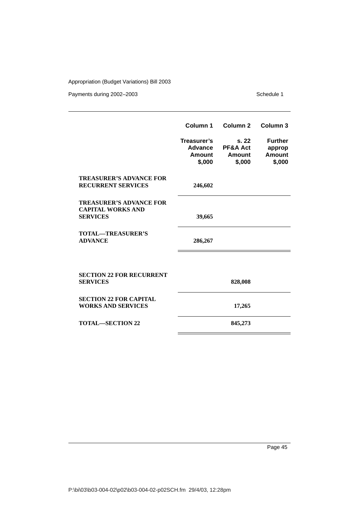Payments during 2002–2003 Schedule 1

|                                                                               | Column 1                                   | Column <sub>2</sub>                                    | Column <sub>3</sub>                          |
|-------------------------------------------------------------------------------|--------------------------------------------|--------------------------------------------------------|----------------------------------------------|
|                                                                               | Treasurer's<br>Advance<br>Amount<br>\$,000 | s.22<br><b>PF&amp;A Act</b><br><b>Amount</b><br>\$,000 | <b>Further</b><br>approp<br>Amount<br>\$,000 |
| <b>TREASURER'S ADVANCE FOR</b><br><b>RECURRENT SERVICES</b>                   | 246,602                                    |                                                        |                                              |
| <b>TREASURER'S ADVANCE FOR</b><br><b>CAPITAL WORKS AND</b><br><b>SERVICES</b> | 39,665                                     |                                                        |                                              |
| <b>TOTAL-TREASURER'S</b><br><b>ADVANCE</b>                                    | 286,267                                    |                                                        |                                              |
|                                                                               |                                            |                                                        |                                              |
| <b>SECTION 22 FOR RECURRENT</b><br><b>SERVICES</b>                            |                                            | 828,008                                                |                                              |
| <b>SECTION 22 FOR CAPITAL</b><br><b>WORKS AND SERVICES</b>                    |                                            | 17,265                                                 |                                              |
| <b>TOTAL—SECTION 22</b>                                                       |                                            | 845,273                                                |                                              |
|                                                                               |                                            |                                                        |                                              |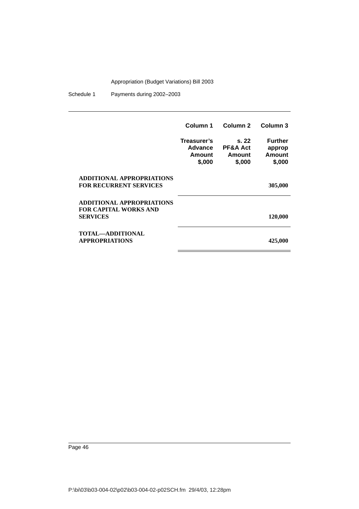Schedule 1 Payments during 2002–2003

|                                                                  | Column 1                                   | Column 2                                        | Column 3                                     |
|------------------------------------------------------------------|--------------------------------------------|-------------------------------------------------|----------------------------------------------|
|                                                                  | Treasurer's<br>Advance<br>Amount<br>\$,000 | s.22<br><b>PF&amp;A Act</b><br>Amount<br>\$,000 | <b>Further</b><br>approp<br>Amount<br>\$,000 |
| ADDITIONAL APPROPRIATIONS<br><b>FOR RECURRENT SERVICES</b>       |                                            |                                                 | 305,000                                      |
| <b>ADDITIONAL APPROPRIATIONS</b><br><b>FOR CAPITAL WORKS AND</b> |                                            |                                                 |                                              |
| <b>SERVICES</b>                                                  |                                            |                                                 | 120,000                                      |
| TOTAL—ADDITIONAL<br><b>APPROPRIATIONS</b>                        |                                            |                                                 | 425,000                                      |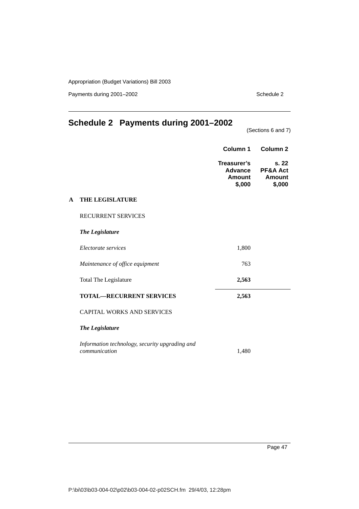Payments during 2001–2002 Schedule 2

# **Schedule 2 Payments during 2001–2002**

(Sections 6 and 7)

|   |                                                                 | Column 1                                          | <b>Column 2</b>                      |
|---|-----------------------------------------------------------------|---------------------------------------------------|--------------------------------------|
|   |                                                                 | Treasurer's<br><b>Advance</b><br>Amount<br>\$,000 | s.22<br>PF&A Act<br>Amount<br>\$,000 |
| A | THE LEGISLATURE                                                 |                                                   |                                      |
|   | <b>RECURRENT SERVICES</b>                                       |                                                   |                                      |
|   | The Legislature                                                 |                                                   |                                      |
|   | Electorate services                                             | 1,800                                             |                                      |
|   | Maintenance of office equipment                                 | 763                                               |                                      |
|   | Total The Legislature                                           | 2,563                                             |                                      |
|   | <b>TOTAL-RECURRENT SERVICES</b>                                 | 2,563                                             |                                      |
|   | <b>CAPITAL WORKS AND SERVICES</b>                               |                                                   |                                      |
|   | The Legislature                                                 |                                                   |                                      |
|   | Information technology, security upgrading and<br>communication | 1,480                                             |                                      |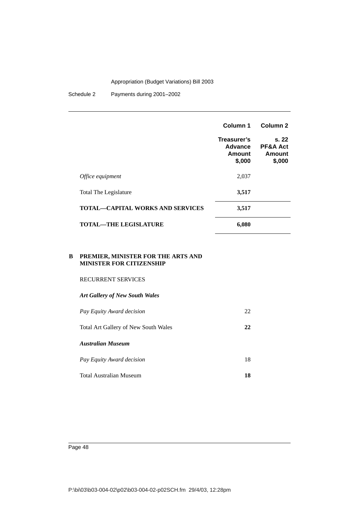Schedule 2 Payments during 2001–2002

|                                         | Column 1                                   | Column <sub>2</sub>                              |
|-----------------------------------------|--------------------------------------------|--------------------------------------------------|
|                                         | Treasurer's<br>Advance<br>Amount<br>\$,000 | s. 22<br><b>PF&amp;A Act</b><br>Amount<br>\$,000 |
| Office equipment                        | 2,037                                      |                                                  |
| Total The Legislature                   | 3,517                                      |                                                  |
| <b>TOTAL—CAPITAL WORKS AND SERVICES</b> | 3,517                                      |                                                  |
| <b>TOTAL—THE LEGISLATURE</b>            | 6,080                                      |                                                  |

#### **B PREMIER, MINISTER FOR THE ARTS AND MINISTER FOR CITIZENSHIP**

#### RECURRENT SERVICES

#### *Art Gallery of New South Wales*

| Pay Equity Award decision            | 22 |
|--------------------------------------|----|
| Total Art Gallery of New South Wales | 22 |
| Australian Museum                    |    |
| Pay Equity Award decision            | 18 |
| Total Australian Museum              | 18 |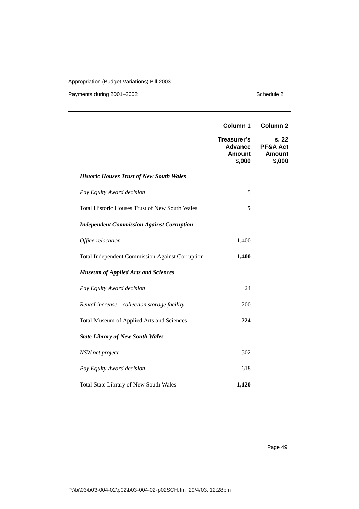Payments during 2001–2002 Schedule 2

|                                                        | Column 1                                                 | Column <sub>2</sub>                          |
|--------------------------------------------------------|----------------------------------------------------------|----------------------------------------------|
|                                                        | Treasurer's<br><b>Advance</b><br><b>Amount</b><br>\$,000 | s. 22<br>PF&A Act<br><b>Amount</b><br>\$,000 |
| <b>Historic Houses Trust of New South Wales</b>        |                                                          |                                              |
| Pay Equity Award decision                              | 5                                                        |                                              |
| <b>Total Historic Houses Trust of New South Wales</b>  | 5                                                        |                                              |
| <b>Independent Commission Against Corruption</b>       |                                                          |                                              |
| Office relocation                                      | 1,400                                                    |                                              |
| <b>Total Independent Commission Against Corruption</b> | 1,400                                                    |                                              |
| <b>Museum of Applied Arts and Sciences</b>             |                                                          |                                              |
| Pay Equity Award decision                              | 24                                                       |                                              |
| Rental increase-collection storage facility            | 200                                                      |                                              |
| Total Museum of Applied Arts and Sciences              | 224                                                      |                                              |
| <b>State Library of New South Wales</b>                |                                                          |                                              |
| NSW.net project                                        | 502                                                      |                                              |
| Pay Equity Award decision                              | 618                                                      |                                              |
| <b>Total State Library of New South Wales</b>          | 1,120                                                    |                                              |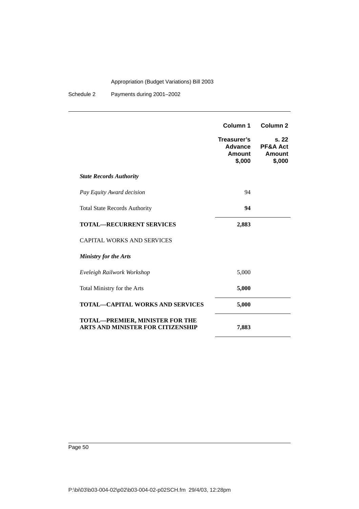Schedule 2 Payments during 2001–2002

|                                                                                    | Column 1                                   | <b>Column 2</b>                              |
|------------------------------------------------------------------------------------|--------------------------------------------|----------------------------------------------|
|                                                                                    | Treasurer's<br>Advance<br>Amount<br>\$,000 | s. 22<br>PF&A Act<br><b>Amount</b><br>\$,000 |
| <b>State Records Authority</b>                                                     |                                            |                                              |
| Pay Equity Award decision                                                          | 94                                         |                                              |
| <b>Total State Records Authority</b>                                               | 94                                         |                                              |
| <b>TOTAL—RECURRENT SERVICES</b>                                                    | 2,883                                      |                                              |
| <b>CAPITAL WORKS AND SERVICES</b>                                                  |                                            |                                              |
| <b>Ministry for the Arts</b>                                                       |                                            |                                              |
| Eveleigh Railwork Workshop                                                         | 5,000                                      |                                              |
| Total Ministry for the Arts                                                        | 5,000                                      |                                              |
| <b>TOTAL-CAPITAL WORKS AND SERVICES</b>                                            | 5,000                                      |                                              |
| <b>TOTAL-PREMIER, MINISTER FOR THE</b><br><b>ARTS AND MINISTER FOR CITIZENSHIP</b> | 7,883                                      |                                              |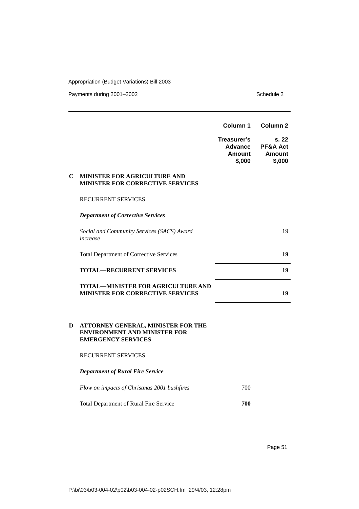Payments during 2001–2002 Schedule 2

|   |                                                                                      | Column 1                                   | Column <sub>2</sub>                             |
|---|--------------------------------------------------------------------------------------|--------------------------------------------|-------------------------------------------------|
|   |                                                                                      | Treasurer's<br>Advance<br>Amount<br>\$,000 | s.22<br><b>PF&amp;A Act</b><br>Amount<br>\$,000 |
| C | MINISTER FOR AGRICULTURE AND<br><b>MINISTER FOR CORRECTIVE SERVICES</b>              |                                            |                                                 |
|   | <b>RECURRENT SERVICES</b>                                                            |                                            |                                                 |
|   | <b>Department of Corrective Services</b>                                             |                                            |                                                 |
|   | Social and Community Services (SACS) Award<br>increase                               |                                            | 19                                              |
|   | <b>Total Department of Corrective Services</b>                                       |                                            | 19                                              |
|   | <b>TOTAL—RECURRENT SERVICES</b>                                                      |                                            | 19                                              |
|   | <b>TOTAL—MINISTER FOR AGRICULTURE AND</b><br><b>MINISTER FOR CORRECTIVE SERVICES</b> |                                            | 19                                              |

#### **D ATTORNEY GENERAL, MINISTER FOR THE ENVIRONMENT AND MINISTER FOR EMERGENCY SERVICES**

RECURRENT SERVICES

*Department of Rural Fire Service*

| Flow on impacts of Christmas 2001 bushfires   | 700 |
|-----------------------------------------------|-----|
| <b>Total Department of Rural Fire Service</b> | 700 |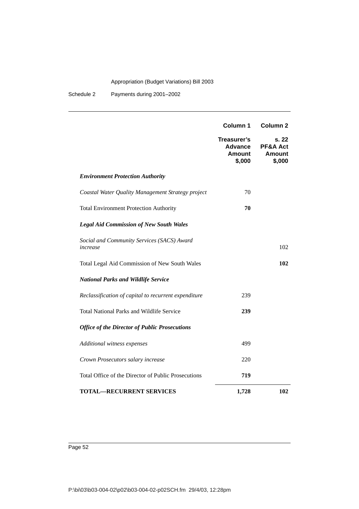Schedule 2 Payments during 2001–2002

|                                                        | Column 1                                                 | <b>Column 2</b>                              |
|--------------------------------------------------------|----------------------------------------------------------|----------------------------------------------|
|                                                        | Treasurer's<br><b>Advance</b><br><b>Amount</b><br>\$,000 | s. 22<br>PF&A Act<br><b>Amount</b><br>\$,000 |
| <b>Environment Protection Authority</b>                |                                                          |                                              |
| Coastal Water Quality Management Strategy project      | 70                                                       |                                              |
| <b>Total Environment Protection Authority</b>          | 70                                                       |                                              |
| <b>Legal Aid Commission of New South Wales</b>         |                                                          |                                              |
| Social and Community Services (SACS) Award<br>increase |                                                          | 102                                          |
| Total Legal Aid Commission of New South Wales          |                                                          | 102                                          |
| <b>National Parks and Wildlife Service</b>             |                                                          |                                              |
| Reclassification of capital to recurrent expenditure   | 239                                                      |                                              |
| <b>Total National Parks and Wildlife Service</b>       | 239                                                      |                                              |
| <b>Office of the Director of Public Prosecutions</b>   |                                                          |                                              |
| Additional witness expenses                            | 499                                                      |                                              |
| Crown Prosecutors salary increase                      | 220                                                      |                                              |
| Total Office of the Director of Public Prosecutions    | 719                                                      |                                              |
| <b>TOTAL—RECURRENT SERVICES</b>                        | 1,728                                                    | 102                                          |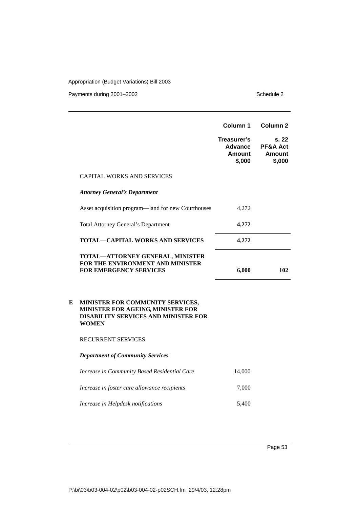Payments during 2001–2002 Schedule 2

|   |                                                                                                                                      | Column 1                                          | Column <sub>2</sub>                         |
|---|--------------------------------------------------------------------------------------------------------------------------------------|---------------------------------------------------|---------------------------------------------|
|   |                                                                                                                                      | Treasurer's<br>Advance<br><b>Amount</b><br>\$,000 | s.22<br>PF&A Act<br><b>Amount</b><br>\$,000 |
|   | <b>CAPITAL WORKS AND SERVICES</b>                                                                                                    |                                                   |                                             |
|   | <b>Attorney General's Department</b>                                                                                                 |                                                   |                                             |
|   | Asset acquisition program—land for new Courthouses                                                                                   | 4,272                                             |                                             |
|   | <b>Total Attorney General's Department</b>                                                                                           | 4,272                                             |                                             |
|   | <b>TOTAL-CAPITAL WORKS AND SERVICES</b>                                                                                              | 4,272                                             |                                             |
|   | TOTAL-ATTORNEY GENERAL, MINISTER<br>FOR THE ENVIRONMENT AND MINISTER<br><b>FOR EMERGENCY SERVICES</b>                                | 6,000                                             | 102                                         |
| Е | MINISTER FOR COMMUNITY SERVICES,<br>MINISTER FOR AGEING, MINISTER FOR<br><b>DISABILITY SERVICES AND MINISTER FOR</b><br><b>WOMEN</b> |                                                   |                                             |
|   | RECURRENT SERVICES                                                                                                                   |                                                   |                                             |
|   | <b>Department of Community Services</b>                                                                                              |                                                   |                                             |
|   | Increase in Community Based Residential Care                                                                                         | 14,000                                            |                                             |
|   | Increase in foster care allowance recipients                                                                                         | 7,000                                             |                                             |
|   | Increase in Helpdesk notifications                                                                                                   | 5,400                                             |                                             |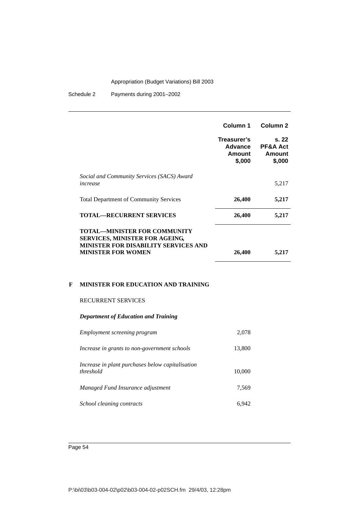Schedule 2 Payments during 2001–2002

|                                                                                                                                                          | Column 1                                   | Column <sub>2</sub>                              |
|----------------------------------------------------------------------------------------------------------------------------------------------------------|--------------------------------------------|--------------------------------------------------|
|                                                                                                                                                          | Treasurer's<br>Advance<br>Amount<br>\$,000 | s. 22<br><b>PF&amp;A Act</b><br>Amount<br>\$,000 |
| Social and Community Services (SACS) Award<br>increase                                                                                                   |                                            | 5,217                                            |
| <b>Total Department of Community Services</b>                                                                                                            | 26,400                                     | 5,217                                            |
| <b>TOTAL—RECURRENT SERVICES</b>                                                                                                                          | 26,400                                     | 5,217                                            |
| <b>TOTAL—MINISTER FOR COMMUNITY</b><br><b>SERVICES, MINISTER FOR AGEING,</b><br><b>MINISTER FOR DISABILITY SERVICES AND</b><br><b>MINISTER FOR WOMEN</b> | 26,400                                     | 5,217                                            |

#### **F MINISTER FOR EDUCATION AND TRAINING**

#### RECURRENT SERVICES

#### *Department of Education and Training*

| Employment screening program                                  | 2,078  |
|---------------------------------------------------------------|--------|
| Increase in grants to non-government schools                  | 13,800 |
| Increase in plant purchases below capitalisation<br>threshold | 10,000 |
| Managed Fund Insurance adjustment                             | 7,569  |
| School cleaning contracts                                     | 6.942  |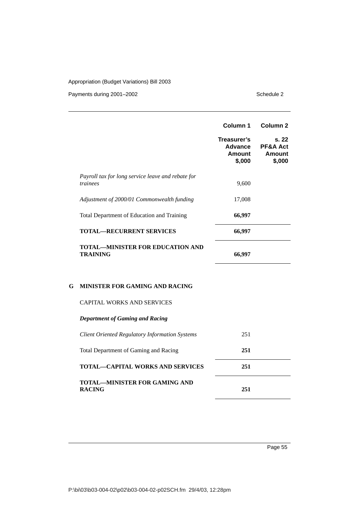Payments during 2001–2002 Schedule 2

|   |                                                               | Column 1                                   | Column <sub>2</sub>                             |
|---|---------------------------------------------------------------|--------------------------------------------|-------------------------------------------------|
|   |                                                               | Treasurer's<br>Advance<br>Amount<br>\$,000 | s.22<br><b>PF&amp;A Act</b><br>Amount<br>\$,000 |
|   | Payroll tax for long service leave and rebate for<br>trainees | 9,600                                      |                                                 |
|   | Adjustment of 2000/01 Commonwealth funding                    | 17,008                                     |                                                 |
|   | Total Department of Education and Training                    | 66,997                                     |                                                 |
|   | <b>TOTAL—RECURRENT SERVICES</b>                               | 66,997                                     |                                                 |
|   | <b>TOTAL—MINISTER FOR EDUCATION AND</b><br><b>TRAINING</b>    | 66,997                                     |                                                 |
| G | MINISTER FOR GAMING AND RACING                                |                                            |                                                 |

# CAPITAL WORKS AND SERVICES

| Department of Gaming and Racing                       |     |
|-------------------------------------------------------|-----|
| <b>Client Oriented Regulatory Information Systems</b> | 251 |
| Total Department of Gaming and Racing                 | 251 |
| <b>TOTAL—CAPITAL WORKS AND SERVICES</b>               | 251 |
| <b>TOTAL—MINISTER FOR GAMING AND</b><br><b>RACING</b> | 251 |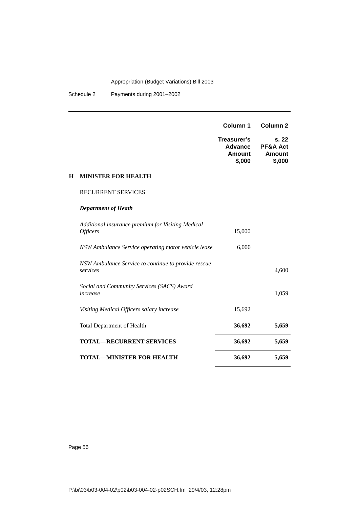Schedule 2 Payments during 2001–2002

|                                                                      | Column 1                                          | Column <sub>2</sub>                                     |
|----------------------------------------------------------------------|---------------------------------------------------|---------------------------------------------------------|
|                                                                      | Treasurer's<br>Advance<br><b>Amount</b><br>\$,000 | s. 22<br><b>PF&amp;A Act</b><br><b>Amount</b><br>\$,000 |
| <b>MINISTER FOR HEALTH</b><br>Н                                      |                                                   |                                                         |
| RECURRENT SERVICES                                                   |                                                   |                                                         |
| <b>Department of Heath</b>                                           |                                                   |                                                         |
| Additional insurance premium for Visiting Medical<br><b>Officers</b> | 15,000                                            |                                                         |
| NSW Ambulance Service operating motor vehicle lease                  | 6,000                                             |                                                         |
| NSW Ambulance Service to continue to provide rescue<br>services      |                                                   | 4,600                                                   |
| Social and Community Services (SACS) Award<br>increase               |                                                   | 1,059                                                   |
| Visiting Medical Officers salary increase                            | 15,692                                            |                                                         |
| <b>Total Department of Health</b>                                    | 36,692                                            | 5,659                                                   |
| <b>TOTAL-RECURRENT SERVICES</b>                                      | 36,692                                            | 5,659                                                   |
| <b>TOTAL—MINISTER FOR HEALTH</b>                                     | 36,692                                            | 5,659                                                   |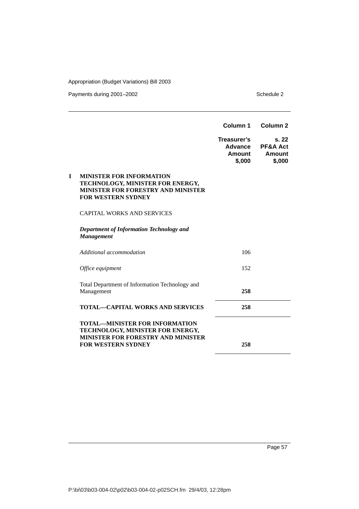Payments during 2001–2002 Schedule 2

|   |                                                                                                                                                     | Column 1                                   | Column <sub>2</sub>                   |
|---|-----------------------------------------------------------------------------------------------------------------------------------------------------|--------------------------------------------|---------------------------------------|
|   |                                                                                                                                                     | Treasurer's<br>Advance<br>Amount<br>\$,000 | s. 22<br>PF&A Act<br>Amount<br>\$,000 |
| I | <b>MINISTER FOR INFORMATION</b><br>TECHNOLOGY, MINISTER FOR ENERGY,<br><b>MINISTER FOR FORESTRY AND MINISTER</b><br><b>FOR WESTERN SYDNEY</b>       |                                            |                                       |
|   | <b>CAPITAL WORKS AND SERVICES</b>                                                                                                                   |                                            |                                       |
|   | Department of Information Technology and<br><b>Management</b>                                                                                       |                                            |                                       |
|   | Additional accommodation                                                                                                                            | 106                                        |                                       |
|   | Office equipment                                                                                                                                    | 152                                        |                                       |
|   | Total Department of Information Technology and<br>Management                                                                                        | 258                                        |                                       |
|   | <b>TOTAL—CAPITAL WORKS AND SERVICES</b>                                                                                                             | 258                                        |                                       |
|   | <b>TOTAL—MINISTER FOR INFORMATION</b><br>TECHNOLOGY, MINISTER FOR ENERGY,<br><b>MINISTER FOR FORESTRY AND MINISTER</b><br><b>FOR WESTERN SYDNEY</b> | 258                                        |                                       |
|   |                                                                                                                                                     |                                            |                                       |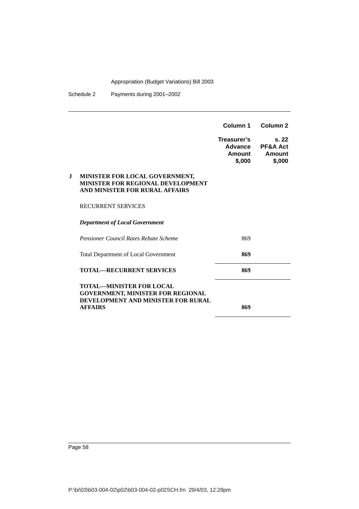Schedule 2 Payments during 2001–2002

|    |                                                                                                                                     | Column 1                                   | Column <sub>2</sub>                             |
|----|-------------------------------------------------------------------------------------------------------------------------------------|--------------------------------------------|-------------------------------------------------|
|    |                                                                                                                                     | Treasurer's<br>Advance<br>Amount<br>\$,000 | s.22<br><b>PF&amp;A Act</b><br>Amount<br>\$,000 |
| J. | MINISTER FOR LOCAL GOVERNMENT,<br><b>MINISTER FOR REGIONAL DEVELOPMENT</b><br>AND MINISTER FOR RURAL AFFAIRS                        |                                            |                                                 |
|    | <b>RECURRENT SERVICES</b>                                                                                                           |                                            |                                                 |
|    | <b>Department of Local Government</b>                                                                                               |                                            |                                                 |
|    | <b>Pensioner Council Rates Rebate Scheme</b>                                                                                        | 869                                        |                                                 |
|    | <b>Total Department of Local Government</b>                                                                                         | 869                                        |                                                 |
|    | <b>TOTAL—RECURRENT SERVICES</b>                                                                                                     | 869                                        |                                                 |
|    | <b>TOTAL—MINISTER FOR LOCAL</b><br><b>GOVERNMENT, MINISTER FOR REGIONAL</b><br>DEVELOPMENT AND MINISTER FOR RURAL<br><b>AFFAIRS</b> | 869                                        |                                                 |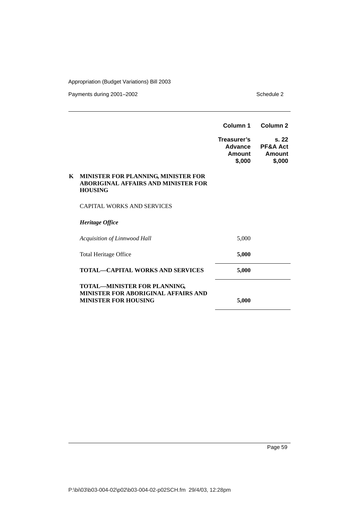Payments during 2001–2002 Schedule 2

|                                                                                                           | Column 1                                   | Column <sub>2</sub>                             |
|-----------------------------------------------------------------------------------------------------------|--------------------------------------------|-------------------------------------------------|
|                                                                                                           | Treasurer's<br>Advance<br>Amount<br>\$,000 | s.22<br><b>PF&amp;A Act</b><br>Amount<br>\$,000 |
| MINISTER FOR PLANNING, MINISTER FOR<br>K<br><b>ABORIGINAL AFFAIRS AND MINISTER FOR</b><br><b>HOUSING</b>  |                                            |                                                 |
| <b>CAPITAL WORKS AND SERVICES</b>                                                                         |                                            |                                                 |
| Heritage Office                                                                                           |                                            |                                                 |
| Acquisition of Linnwood Hall                                                                              | 5,000                                      |                                                 |
| <b>Total Heritage Office</b>                                                                              | 5,000                                      |                                                 |
| <b>TOTAL—CAPITAL WORKS AND SERVICES</b>                                                                   | 5,000                                      |                                                 |
| TOTAL-MINISTER FOR PLANNING,<br><b>MINISTER FOR ABORIGINAL AFFAIRS AND</b><br><b>MINISTER FOR HOUSING</b> | 5,000                                      |                                                 |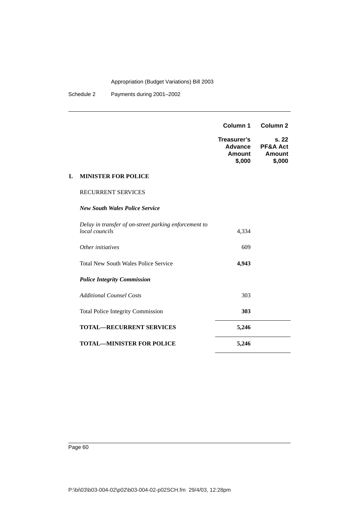Schedule 2 Payments during 2001–2002

|   |                                                                                | Column 1                                          | Column <sub>2</sub>                             |
|---|--------------------------------------------------------------------------------|---------------------------------------------------|-------------------------------------------------|
|   |                                                                                | Treasurer's<br>Advance<br><b>Amount</b><br>\$,000 | s.22<br><b>PF&amp;A Act</b><br>Amount<br>\$,000 |
| L | <b>MINISTER FOR POLICE</b>                                                     |                                                   |                                                 |
|   | <b>RECURRENT SERVICES</b>                                                      |                                                   |                                                 |
|   | <b>New South Wales Police Service</b>                                          |                                                   |                                                 |
|   | Delay in transfer of on-street parking enforcement to<br><i>local councils</i> | 4,334                                             |                                                 |
|   | Other initiatives                                                              | 609                                               |                                                 |
|   | <b>Total New South Wales Police Service</b>                                    | 4,943                                             |                                                 |
|   | <b>Police Integrity Commission</b>                                             |                                                   |                                                 |
|   | <b>Additional Counsel Costs</b>                                                | 303                                               |                                                 |
|   | <b>Total Police Integrity Commission</b>                                       | 303                                               |                                                 |
|   | <b>TOTAL-RECURRENT SERVICES</b>                                                | 5,246                                             |                                                 |
|   | <b>TOTAL-MINISTER FOR POLICE</b>                                               | 5,246                                             |                                                 |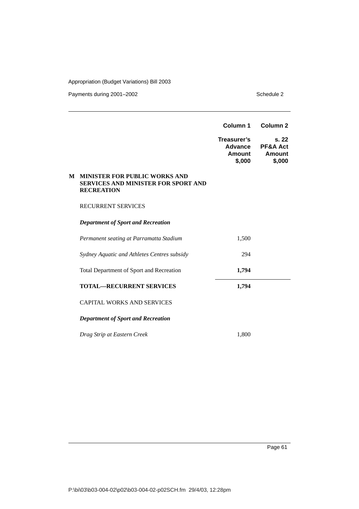Payments during 2001–2002 Schedule 2

|   |                                                                                                         | Column 1                                   | Column <sub>2</sub>                                     |
|---|---------------------------------------------------------------------------------------------------------|--------------------------------------------|---------------------------------------------------------|
|   |                                                                                                         | Treasurer's<br>Advance<br>Amount<br>\$,000 | s. 22<br><b>PF&amp;A Act</b><br><b>Amount</b><br>\$,000 |
| М | <b>MINISTER FOR PUBLIC WORKS AND</b><br><b>SERVICES AND MINISTER FOR SPORT AND</b><br><b>RECREATION</b> |                                            |                                                         |
|   | <b>RECURRENT SERVICES</b>                                                                               |                                            |                                                         |
|   | <b>Department of Sport and Recreation</b>                                                               |                                            |                                                         |
|   | Permanent seating at Parramatta Stadium                                                                 | 1,500                                      |                                                         |
|   | Sydney Aquatic and Athletes Centres subsidy                                                             | 294                                        |                                                         |
|   | Total Department of Sport and Recreation                                                                | 1,794                                      |                                                         |
|   | <b>TOTAL-RECURRENT SERVICES</b>                                                                         | 1,794                                      |                                                         |
|   | <b>CAPITAL WORKS AND SERVICES</b>                                                                       |                                            |                                                         |
|   | <b>Department of Sport and Recreation</b>                                                               |                                            |                                                         |
|   | Drag Strip at Eastern Creek                                                                             | 1,800                                      |                                                         |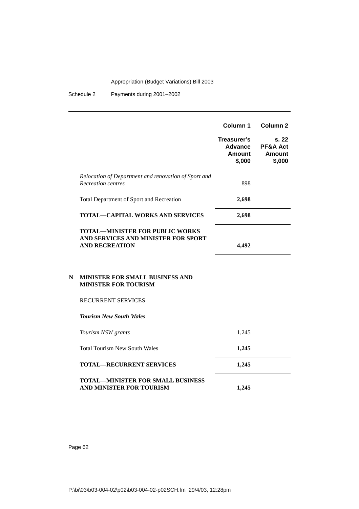Schedule 2 Payments during 2001–2002

|                                                                                                        | Column 1                                   | Column <sub>2</sub>                             |
|--------------------------------------------------------------------------------------------------------|--------------------------------------------|-------------------------------------------------|
|                                                                                                        | Treasurer's<br>Advance<br>Amount<br>\$,000 | s.22<br><b>PF&amp;A Act</b><br>Amount<br>\$,000 |
| Relocation of Department and renovation of Sport and<br>Recreation centres                             | 898                                        |                                                 |
| Total Department of Sport and Recreation                                                               | 2,698                                      |                                                 |
| <b>TOTAL—CAPITAL WORKS AND SERVICES</b>                                                                | 2,698                                      |                                                 |
| <b>TOTAL—MINISTER FOR PUBLIC WORKS</b><br>AND SERVICES AND MINISTER FOR SPORT<br><b>AND RECREATION</b> | 4.492                                      |                                                 |

#### **N MINISTER FOR SMALL BUSINESS AND MINISTER FOR TOURISM**

| <b>RECURRENT SERVICES</b> |  |
|---------------------------|--|
|---------------------------|--|

*Tourism New South Wales*

| Tourism NSW grants                                                   | 1,245 |  |
|----------------------------------------------------------------------|-------|--|
| <b>Total Tourism New South Wales</b>                                 | 1,245 |  |
| <b>TOTAL—RECURRENT SERVICES</b>                                      | 1,245 |  |
| <b>TOTAL—MINISTER FOR SMALL BUSINESS</b><br>AND MINISTER FOR TOURISM | 1.245 |  |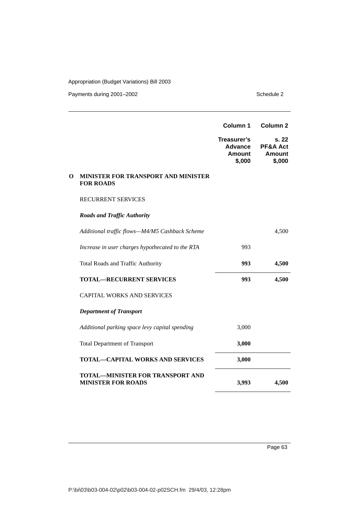Payments during 2001–2002 Schedule 2

|                                                                     | Column 1                                          | <b>Column 2</b>                                         |
|---------------------------------------------------------------------|---------------------------------------------------|---------------------------------------------------------|
|                                                                     | Treasurer's<br>Advance<br><b>Amount</b><br>\$,000 | s. 22<br><b>PF&amp;A Act</b><br><b>Amount</b><br>\$,000 |
| O<br><b>MINISTER FOR TRANSPORT AND MINISTER</b><br><b>FOR ROADS</b> |                                                   |                                                         |
| <b>RECURRENT SERVICES</b>                                           |                                                   |                                                         |
| <b>Roads and Traffic Authority</b>                                  |                                                   |                                                         |
| Additional traffic flows-M4/M5 Cashback Scheme                      |                                                   | 4,500                                                   |
| Increase in user charges hypothecated to the RTA                    | 993                                               |                                                         |
| <b>Total Roads and Traffic Authority</b>                            | 993                                               | 4,500                                                   |
| <b>TOTAL-RECURRENT SERVICES</b>                                     | 993                                               | 4,500                                                   |
| <b>CAPITAL WORKS AND SERVICES</b>                                   |                                                   |                                                         |
| <b>Department of Transport</b>                                      |                                                   |                                                         |
| Additional parking space levy capital spending                      | 3,000                                             |                                                         |
| <b>Total Department of Transport</b>                                | 3,000                                             |                                                         |
| <b>TOTAL-CAPITAL WORKS AND SERVICES</b>                             | 3,000                                             |                                                         |
| TOTAL-MINISTER FOR TRANSPORT AND<br><b>MINISTER FOR ROADS</b>       | 3,993                                             | 4,500                                                   |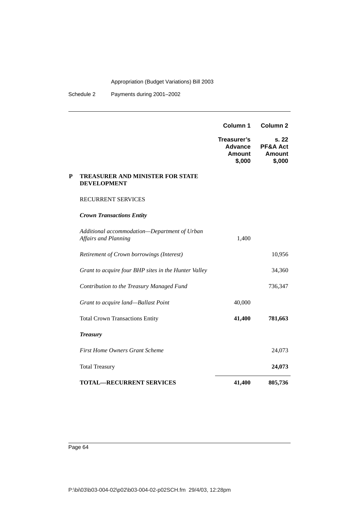Schedule 2 Payments during 2001–2002

|   |                                                                             | Column 1                                                 | Column <sub>2</sub>                          |
|---|-----------------------------------------------------------------------------|----------------------------------------------------------|----------------------------------------------|
|   |                                                                             | Treasurer's<br><b>Advance</b><br><b>Amount</b><br>\$,000 | s. 22<br>PF&A Act<br><b>Amount</b><br>\$,000 |
| P | <b>TREASURER AND MINISTER FOR STATE</b><br><b>DEVELOPMENT</b>               |                                                          |                                              |
|   | <b>RECURRENT SERVICES</b>                                                   |                                                          |                                              |
|   | <b>Crown Transactions Entity</b>                                            |                                                          |                                              |
|   | Additional accommodation-Department of Urban<br><b>Affairs and Planning</b> | 1,400                                                    |                                              |
|   | Retirement of Crown borrowings (Interest)                                   |                                                          | 10,956                                       |
|   | Grant to acquire four BHP sites in the Hunter Valley                        |                                                          | 34,360                                       |
|   | Contribution to the Treasury Managed Fund                                   |                                                          | 736,347                                      |
|   | Grant to acquire land—Ballast Point                                         | 40,000                                                   |                                              |
|   | <b>Total Crown Transactions Entity</b>                                      | 41,400                                                   | 781,663                                      |
|   | <b>Treasury</b>                                                             |                                                          |                                              |
|   | <b>First Home Owners Grant Scheme</b>                                       |                                                          | 24,073                                       |
|   | <b>Total Treasury</b>                                                       |                                                          | 24,073                                       |
|   | <b>TOTAL-RECURRENT SERVICES</b>                                             | 41,400                                                   | 805,736                                      |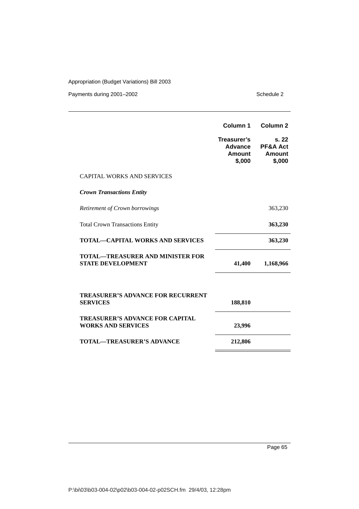Payments during 2001–2002 Schedule 2

|                                                                     | Column 1                                   | Column <sub>2</sub>                                     |
|---------------------------------------------------------------------|--------------------------------------------|---------------------------------------------------------|
|                                                                     | Treasurer's<br>Advance<br>Amount<br>\$,000 | s. 22<br><b>PF&amp;A Act</b><br><b>Amount</b><br>\$,000 |
| <b>CAPITAL WORKS AND SERVICES</b>                                   |                                            |                                                         |
| <b>Crown Transactions Entity</b>                                    |                                            |                                                         |
| <b>Retirement of Crown borrowings</b>                               |                                            | 363,230                                                 |
| <b>Total Crown Transactions Entity</b>                              |                                            | 363,230                                                 |
| <b>TOTAL—CAPITAL WORKS AND SERVICES</b>                             |                                            | 363,230                                                 |
| <b>TOTAL—TREASURER AND MINISTER FOR</b><br><b>STATE DEVELOPMENT</b> | 41,400                                     | 1,168,966                                               |
| <b>TREASURER'S ADVANCE FOR RECURRENT</b><br><b>SERVICES</b>         | 188,810                                    |                                                         |
| <b>TREASURER'S ADVANCE FOR CAPITAL</b><br><b>WORKS AND SERVICES</b> | 23,996                                     |                                                         |
| <b>TOTAL—TREASURER'S ADVANCE</b>                                    | 212,806                                    |                                                         |